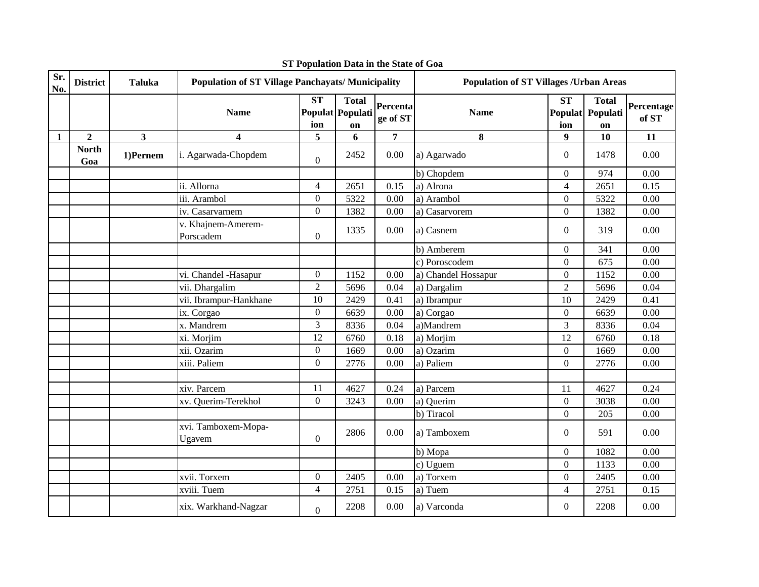| Sr.<br>No.   | <b>District</b>     | <b>Taluka</b>           | <b>Population of ST Village Panchayats/ Municipality</b> |                               |                                        |                      | <b>Population of ST Villages /Urban Areas</b> |                  |                                        |                     |
|--------------|---------------------|-------------------------|----------------------------------------------------------|-------------------------------|----------------------------------------|----------------------|-----------------------------------------------|------------------|----------------------------------------|---------------------|
|              |                     |                         | <b>Name</b>                                              | $\overline{\text{ST}}$<br>ion | <b>Total</b><br>Populat Populati<br>on | Percenta<br>ge of ST | <b>Name</b>                                   | <b>ST</b><br>ion | <b>Total</b><br>Populat Populati<br>on | Percentage<br>of ST |
| $\mathbf{1}$ | $\overline{2}$      | $\overline{\mathbf{3}}$ | $\overline{\mathbf{4}}$                                  | 5                             | 6                                      | 7                    | 8                                             | 9                | 10                                     | 11                  |
|              | <b>North</b><br>Goa | 1)Pernem                | i. Agarwada-Chopdem                                      | $\overline{0}$                | 2452                                   | $0.00\,$             | a) Agarwado                                   | $\overline{0}$   | 1478                                   | 0.00                |
|              |                     |                         |                                                          |                               |                                        |                      | b) Chopdem                                    | $\overline{0}$   | 974                                    | 0.00                |
|              |                     |                         | ii. Allorna                                              | $\overline{4}$                | 2651                                   | 0.15                 | a) Alrona                                     | $\overline{4}$   | 2651                                   | 0.15                |
|              |                     |                         | iii. Arambol                                             | $\boldsymbol{0}$              | 5322                                   | 0.00                 | a) Arambol                                    | $\boldsymbol{0}$ | 5322                                   | 0.00                |
|              |                     |                         | iv. Casarvarnem                                          | $\overline{0}$                | 1382                                   | 0.00                 | a) Casarvorem                                 | $\overline{0}$   | 1382                                   | $0.00\,$            |
|              |                     |                         | v. Khajnem-Amerem-<br>Porscadem                          | $\boldsymbol{0}$              | 1335                                   | 0.00                 | a) Casnem                                     | $\overline{0}$   | 319                                    | 0.00                |
|              |                     |                         |                                                          |                               |                                        |                      | b) Amberem                                    | $\overline{0}$   | 341                                    | 0.00                |
|              |                     |                         |                                                          |                               |                                        |                      | c) Poroscodem                                 | $\overline{0}$   | 675                                    | 0.00                |
|              |                     |                         | vi. Chandel -Hasapur                                     | $\overline{0}$                | 1152                                   | 0.00                 | a) Chandel Hossapur                           | $\overline{0}$   | 1152                                   | 0.00                |
|              |                     |                         | vii. Dhargalim                                           | $\overline{2}$                | 5696                                   | 0.04                 | a) Dargalim                                   | $\overline{2}$   | 5696                                   | 0.04                |
|              |                     |                         | vii. Ibrampur-Hankhane                                   | 10                            | 2429                                   | 0.41                 | a) Ibrampur                                   | 10               | 2429                                   | 0.41                |
|              |                     |                         | ix. Corgao                                               | $\overline{0}$                | 6639                                   | 0.00                 | a) Corgao                                     | $\overline{0}$   | 6639                                   | 0.00                |
|              |                     |                         | x. Mandrem                                               | 3                             | 8336                                   | 0.04                 | a)Mandrem                                     | 3                | 8336                                   | 0.04                |
|              |                     |                         | xi. Morjim                                               | 12                            | 6760                                   | 0.18                 | a) Morjim                                     | 12               | 6760                                   | 0.18                |
|              |                     |                         | xii. Ozarim                                              | $\overline{0}$                | 1669                                   | 0.00                 | a) Ozarim                                     | $\boldsymbol{0}$ | 1669                                   | 0.00                |
|              |                     |                         | xiii. Paliem                                             | $\overline{0}$                | 2776                                   | 0.00                 | a) Paliem                                     | $\theta$         | 2776                                   | 0.00                |
|              |                     |                         |                                                          |                               |                                        |                      |                                               |                  |                                        |                     |
|              |                     |                         | xiv. Parcem                                              | 11                            | 4627                                   | 0.24                 | a) Parcem                                     | 11               | 4627                                   | 0.24                |
|              |                     |                         | xv. Querim-Terekhol                                      | $\overline{0}$                | 3243                                   | 0.00                 | a) Querim                                     | $\overline{0}$   | 3038                                   | 0.00                |
|              |                     |                         |                                                          |                               |                                        |                      | b) Tiracol                                    | $\boldsymbol{0}$ | 205                                    | 0.00                |
|              |                     |                         | xvi. Tamboxem-Mopa-<br>Ugavem                            | $\overline{0}$                | 2806                                   | 0.00                 | a) Tamboxem                                   | $\overline{0}$   | 591                                    | 0.00                |
|              |                     |                         |                                                          |                               |                                        |                      | b) Mopa                                       | $\overline{0}$   | 1082                                   | 0.00                |
|              |                     |                         |                                                          |                               |                                        |                      | c) Uguem                                      | $\overline{0}$   | 1133                                   | 0.00                |
|              |                     |                         | xvii. Torxem                                             | $\overline{0}$                | 2405                                   | 0.00                 | a) Torxem                                     | $\overline{0}$   | 2405                                   | 0.00                |
|              |                     |                         | xviii. Tuem                                              | $\overline{4}$                | 2751                                   | 0.15                 | a) Tuem                                       | $\overline{4}$   | 2751                                   | 0.15                |
|              |                     |                         | xix. Warkhand-Nagzar                                     | $\overline{0}$                | 2208                                   | 0.00                 | a) Varconda                                   | $\overline{0}$   | 2208                                   | 0.00                |

**ST Population Data in the State of Goa**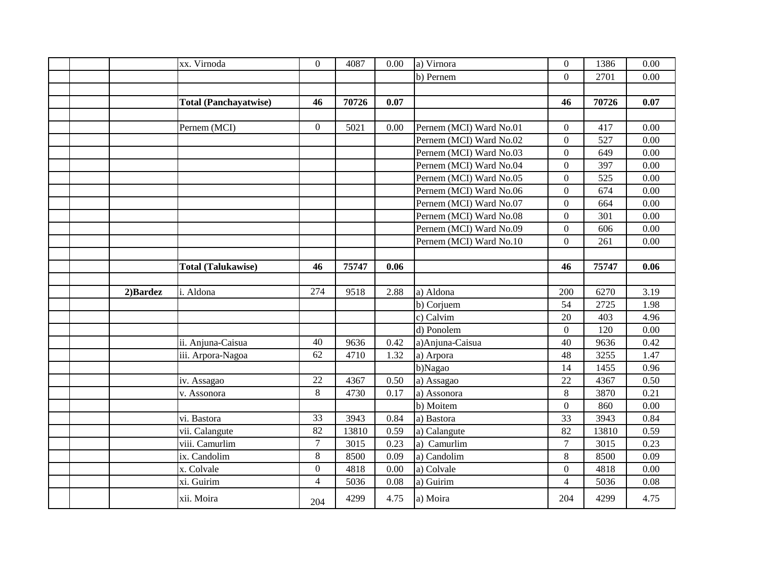|  |          | xx. Virnoda                  | $\boldsymbol{0}$ | 4087  | 0.00 | a) Virnora              | $\boldsymbol{0}$ | 1386  | 0.00 |
|--|----------|------------------------------|------------------|-------|------|-------------------------|------------------|-------|------|
|  |          |                              |                  |       |      | b) Pernem               | $\overline{0}$   | 2701  | 0.00 |
|  |          |                              |                  |       |      |                         |                  |       |      |
|  |          | <b>Total (Panchayatwise)</b> | 46               | 70726 | 0.07 |                         | 46               | 70726 | 0.07 |
|  |          |                              |                  |       |      |                         |                  |       |      |
|  |          | Pernem (MCI)                 | $\overline{0}$   | 5021  | 0.00 | Pernem (MCI) Ward No.01 | $\overline{0}$   | 417   | 0.00 |
|  |          |                              |                  |       |      | Pernem (MCI) Ward No.02 | $\overline{0}$   | 527   | 0.00 |
|  |          |                              |                  |       |      | Pernem (MCI) Ward No.03 | $\overline{0}$   | 649   | 0.00 |
|  |          |                              |                  |       |      | Pernem (MCI) Ward No.04 | $\overline{0}$   | 397   | 0.00 |
|  |          |                              |                  |       |      | Pernem (MCI) Ward No.05 | $\overline{0}$   | 525   | 0.00 |
|  |          |                              |                  |       |      | Pernem (MCI) Ward No.06 | $\overline{0}$   | 674   | 0.00 |
|  |          |                              |                  |       |      | Pernem (MCI) Ward No.07 | $\overline{0}$   | 664   | 0.00 |
|  |          |                              |                  |       |      | Pernem (MCI) Ward No.08 | $\boldsymbol{0}$ | 301   | 0.00 |
|  |          |                              |                  |       |      | Pernem (MCI) Ward No.09 | $\boldsymbol{0}$ | 606   | 0.00 |
|  |          |                              |                  |       |      | Pernem (MCI) Ward No.10 | $\overline{0}$   | 261   | 0.00 |
|  |          |                              |                  |       |      |                         |                  |       |      |
|  |          | <b>Total (Talukawise)</b>    | 46               | 75747 | 0.06 |                         | 46               | 75747 | 0.06 |
|  |          |                              |                  |       |      |                         |                  |       |      |
|  | 2)Bardez | i. Aldona                    | 274              | 9518  | 2.88 | a) Aldona               | 200              | 6270  | 3.19 |
|  |          |                              |                  |       |      | b) Corjuem              | 54               | 2725  | 1.98 |
|  |          |                              |                  |       |      | c) Calvim               | 20               | 403   | 4.96 |
|  |          |                              |                  |       |      | d) Ponolem              | $\overline{0}$   | 120   | 0.00 |
|  |          | ii. Anjuna-Caisua            | 40               | 9636  | 0.42 | a) Anjuna-Caisua        | 40               | 9636  | 0.42 |
|  |          | iii. Arpora-Nagoa            | 62               | 4710  | 1.32 | a) Arpora               | 48               | 3255  | 1.47 |
|  |          |                              |                  |       |      | b)Nagao                 | 14               | 1455  | 0.96 |
|  |          | iv. Assagao                  | 22               | 4367  | 0.50 | a) Assagao              | 22               | 4367  | 0.50 |
|  |          | v. Assonora                  | 8                | 4730  | 0.17 | a) Assonora             | 8                | 3870  | 0.21 |
|  |          |                              |                  |       |      | b) Moitem               | $\overline{0}$   | 860   | 0.00 |
|  |          | vi. Bastora                  | 33               | 3943  | 0.84 | a) Bastora              | 33               | 3943  | 0.84 |
|  |          | vii. Calangute               | 82               | 13810 | 0.59 | a) Calangute            | $\overline{82}$  | 13810 | 0.59 |
|  |          | viii. Camurlim               | $\overline{7}$   | 3015  | 0.23 | a) Camurlim             | $\overline{7}$   | 3015  | 0.23 |
|  |          | ix. Candolim                 | 8                | 8500  | 0.09 | a) Candolim             | 8                | 8500  | 0.09 |
|  |          | x. Colvale                   | $\overline{0}$   | 4818  | 0.00 | a) Colvale              | $\overline{0}$   | 4818  | 0.00 |
|  |          | xi. Guirim                   | $\overline{4}$   | 5036  | 0.08 | a) Guirim               | $\overline{4}$   | 5036  | 0.08 |
|  |          | xii. Moira                   | 204              | 4299  | 4.75 | a) Moira                | 204              | 4299  | 4.75 |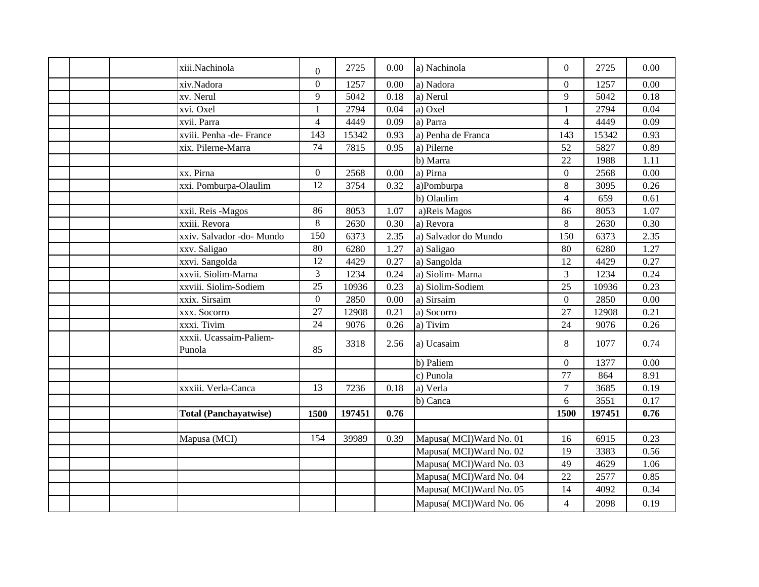| xiii.Nachinola                    | $\overline{0}$ | 2725   | 0.00 | a) Nachinola             | $\overline{0}$ | 2725   | 0.00 |
|-----------------------------------|----------------|--------|------|--------------------------|----------------|--------|------|
| xiv.Nadora                        | $\overline{0}$ | 1257   | 0.00 | a) Nadora                | $\overline{0}$ | 1257   | 0.00 |
| xv. Nerul                         | 9              | 5042   | 0.18 | a) Nerul                 | 9              | 5042   | 0.18 |
| xvi. Oxel                         | $\mathbf{1}$   | 2794   | 0.04 | a) Oxel                  | $\mathbf{1}$   | 2794   | 0.04 |
| xvii. Parra                       | $\overline{4}$ | 4449   | 0.09 | a) Parra                 | $\overline{4}$ | 4449   | 0.09 |
| xviii. Penha -de- France          | 143            | 15342  | 0.93 | a) Penha de Franca       | 143            | 15342  | 0.93 |
| xix. Pilerne-Marra                | 74             | 7815   | 0.95 | a) Pilerne               | 52             | 5827   | 0.89 |
|                                   |                |        |      | b) Marra                 | 22             | 1988   | 1.11 |
| xx. Pirna                         | $\overline{0}$ | 2568   | 0.00 | a) Pirna                 | $\overline{0}$ | 2568   | 0.00 |
| xxi. Pomburpa-Olaulim             | 12             | 3754   | 0.32 | a)Pomburpa               | 8              | 3095   | 0.26 |
|                                   |                |        |      | b) Olaulim               | $\overline{4}$ | 659    | 0.61 |
| xxii. Reis -Magos                 | 86             | 8053   | 1.07 | a)Reis Magos             | 86             | 8053   | 1.07 |
| xxiii. Revora                     | 8              | 2630   | 0.30 | a) Revora                | 8              | 2630   | 0.30 |
| xxiv. Salvador -do- Mundo         | 150            | 6373   | 2.35 | a) Salvador do Mundo     | 150            | 6373   | 2.35 |
| xxv. Saligao                      | 80             | 6280   | 1.27 | a) Saligao               | 80             | 6280   | 1.27 |
| xxvi. Sangolda                    | 12             | 4429   | 0.27 | a) Sangolda              | 12             | 4429   | 0.27 |
| xxvii. Siolim-Marna               | $\overline{3}$ | 1234   | 0.24 | a) Siolim-Marna          | 3              | 1234   | 0.24 |
| xxviii. Siolim-Sodiem             | 25             | 10936  | 0.23 | a) Siolim-Sodiem         | 25             | 10936  | 0.23 |
| xxix. Sirsaim                     | $\overline{0}$ | 2850   | 0.00 | a) Sirsaim               | $\overline{0}$ | 2850   | 0.00 |
| <b>xxx.</b> Socorro               | 27             | 12908  | 0.21 | a) Socorro               | 27             | 12908  | 0.21 |
| xxxi. Tivim                       | 24             | 9076   | 0.26 | a) Tivim                 | 24             | 9076   | 0.26 |
| xxxii. Ucassaim-Paliem-<br>Punola | 85             | 3318   | 2.56 | a) Ucasaim               | 8              | 1077   | 0.74 |
|                                   |                |        |      | b) Paliem                | $\overline{0}$ | 1377   | 0.00 |
|                                   |                |        |      | c) Punola                | 77             | 864    | 8.91 |
| xxxiii. Verla-Canca               | 13             | 7236   | 0.18 | a) Verla                 | $\overline{7}$ | 3685   | 0.19 |
|                                   |                |        |      | b) Canca                 | 6              | 3551   | 0.17 |
| <b>Total (Panchayatwise)</b>      | 1500           | 197451 | 0.76 |                          | 1500           | 197451 | 0.76 |
|                                   |                |        |      |                          |                |        |      |
| Mapusa (MCI)                      | 154            | 39989  | 0.39 | Mapusa( MCI) Ward No. 01 | 16             | 6915   | 0.23 |
|                                   |                |        |      | Mapusa( MCI)Ward No. 02  | 19             | 3383   | 0.56 |
|                                   |                |        |      | Mapusa( MCI) Ward No. 03 | 49             | 4629   | 1.06 |
|                                   |                |        |      | Mapusa( MCI) Ward No. 04 | 22             | 2577   | 0.85 |
|                                   |                |        |      | Mapusa(MCI)Ward No. 05   | 14             | 4092   | 0.34 |
|                                   |                |        |      | Mapusa( MCI) Ward No. 06 | $\overline{4}$ | 2098   | 0.19 |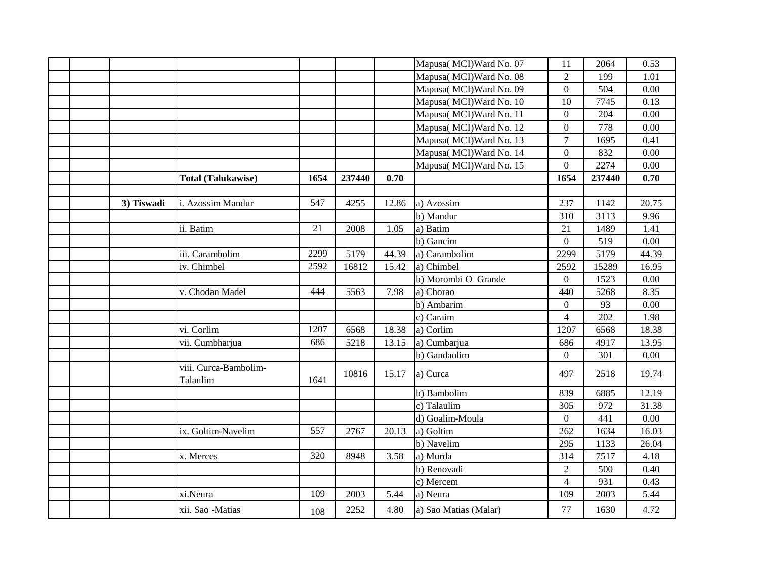|  |            |                                   |      |        |       | Mapusa( MCI) Ward No. 07 | 11               | 2064   | 0.53  |
|--|------------|-----------------------------------|------|--------|-------|--------------------------|------------------|--------|-------|
|  |            |                                   |      |        |       | Mapusa(MCI)Ward No. 08   | $\overline{2}$   | 199    | 1.01  |
|  |            |                                   |      |        |       | Mapusa( MCI) Ward No. 09 | $\overline{0}$   | 504    | 0.00  |
|  |            |                                   |      |        |       | Mapusa( MCI) Ward No. 10 | 10               | 7745   | 0.13  |
|  |            |                                   |      |        |       | Mapusa(MCI)Ward No. 11   | $\overline{0}$   | 204    | 0.00  |
|  |            |                                   |      |        |       | Mapusa(MCI)Ward No. 12   | $\overline{0}$   | 778    | 0.00  |
|  |            |                                   |      |        |       | Mapusa(MCI)Ward No. 13   | $\overline{7}$   | 1695   | 0.41  |
|  |            |                                   |      |        |       | Mapusa(MCI)Ward No. 14   | $\overline{0}$   | 832    | 0.00  |
|  |            |                                   |      |        |       | Mapusa(MCI)Ward No. 15   | $\boldsymbol{0}$ | 2274   | 0.00  |
|  |            | <b>Total (Talukawise)</b>         | 1654 | 237440 | 0.70  |                          | 1654             | 237440 | 0.70  |
|  |            |                                   |      |        |       |                          |                  |        |       |
|  | 3) Tiswadi | i. Azossim Mandur                 | 547  | 4255   | 12.86 | a) Azossim               | 237              | 1142   | 20.75 |
|  |            |                                   |      |        |       | b) Mandur                | 310              | 3113   | 9.96  |
|  |            | ii. Batim                         | 21   | 2008   | 1.05  | a) Batim                 | 21               | 1489   | 1.41  |
|  |            |                                   |      |        |       | b) Gancim                | $\overline{0}$   | 519    | 0.00  |
|  |            | iii. Carambolim                   | 2299 | 5179   | 44.39 | a) Carambolim            | 2299             | 5179   | 44.39 |
|  |            | iv. Chimbel                       | 2592 | 16812  | 15.42 | a) Chimbel               | 2592             | 15289  | 16.95 |
|  |            |                                   |      |        |       | b) Morombi O Grande      | $\overline{0}$   | 1523   | 0.00  |
|  |            | v. Chodan Madel                   | 444  | 5563   | 7.98  | a) Chorao                | 440              | 5268   | 8.35  |
|  |            |                                   |      |        |       | b) Ambarim               | $\overline{0}$   | 93     | 0.00  |
|  |            |                                   |      |        |       | c) Caraim                | 4                | 202    | 1.98  |
|  |            | vi. Corlim                        | 1207 | 6568   | 18.38 | a) Corlim                | 1207             | 6568   | 18.38 |
|  |            | vii. Cumbharjua                   | 686  | 5218   | 13.15 | a) Cumbarjua             | 686              | 4917   | 13.95 |
|  |            |                                   |      |        |       | b) Gandaulim             | $\boldsymbol{0}$ | 301    | 0.00  |
|  |            | viii. Curca-Bambolim-<br>Talaulim | 1641 | 10816  | 15.17 | a) Curca                 | 497              | 2518   | 19.74 |
|  |            |                                   |      |        |       | b) Bambolim              | 839              | 6885   | 12.19 |
|  |            |                                   |      |        |       | c) Talaulim              | 305              | 972    | 31.38 |
|  |            |                                   |      |        |       | d) Goalim-Moula          | $\boldsymbol{0}$ | 441    | 0.00  |
|  |            | ix. Goltim-Navelim                | 557  | 2767   | 20.13 | a) Goltim                | 262              | 1634   | 16.03 |
|  |            |                                   |      |        |       | b) Navelim               | 295              | 1133   | 26.04 |
|  |            | x. Merces                         | 320  | 8948   | 3.58  | a) Murda                 | 314              | 7517   | 4.18  |
|  |            |                                   |      |        |       | b) Renovadi              | $\mathfrak{2}$   | 500    | 0.40  |
|  |            |                                   |      |        |       | c) Mercem                | $\overline{4}$   | 931    | 0.43  |
|  |            | xi.Neura                          | 109  | 2003   | 5.44  | a) Neura                 | 109              | 2003   | 5.44  |
|  |            | xii. Sao -Matias                  | 108  | 2252   | 4.80  | a) Sao Matias (Malar)    | 77               | 1630   | 4.72  |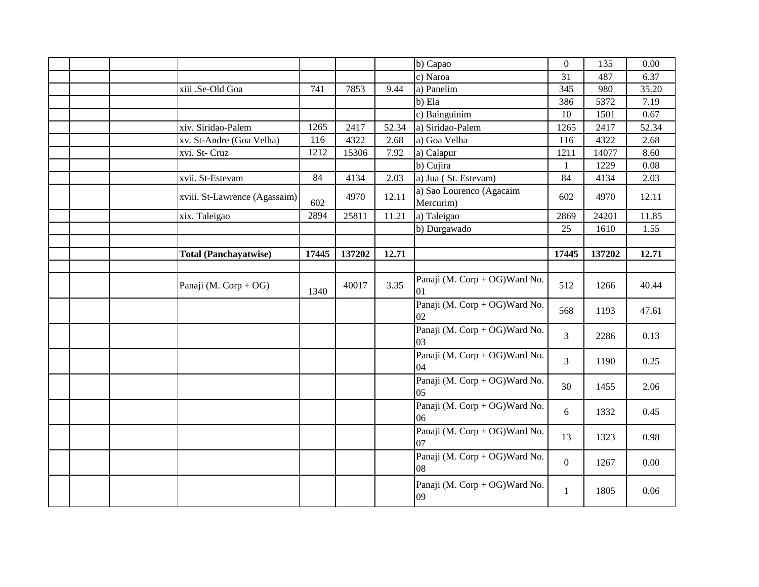|  |                               |       |        |       | b) Capao                              | $\overline{0}$ | 135    | 0.00  |
|--|-------------------------------|-------|--------|-------|---------------------------------------|----------------|--------|-------|
|  |                               |       |        |       | c) Naroa                              | 31             | 487    | 6.37  |
|  | xiii .Se-Old Goa              | 741   | 7853   | 9.44  | a) Panelim                            | 345            | 980    | 35.20 |
|  |                               |       |        |       | b) Ela                                | 386            | 5372   | 7.19  |
|  |                               |       |        |       | c) Bainguinim                         | 10             | 1501   | 0.67  |
|  | xiv. Siridao-Palem            | 1265  | 2417   | 52.34 | a) Siridao-Palem                      | 1265           | 2417   | 52.34 |
|  | xv. St-Andre (Goa Velha)      | 116   | 4322   | 2.68  | a) Goa Velha                          | 116            | 4322   | 2.68  |
|  | xvi. St- Cruz                 | 1212  | 15306  | 7.92  | a) Calapur                            | 1211           | 14077  | 8.60  |
|  |                               |       |        |       | b) Cujira                             | 1              | 1229   | 0.08  |
|  | xvii. St-Estevam              | 84    | 4134   | 2.03  | a) Jua (St. Estevam)                  | 84             | 4134   | 2.03  |
|  | xviii. St-Lawrence (Agassaim) | 602   | 4970   | 12.11 | a) Sao Lourenco (Agacaim<br>Mercurim) | 602            | 4970   | 12.11 |
|  | xix. Taleigao                 | 2894  | 25811  | 11.21 | a) Taleigao                           | 2869           | 24201  | 11.85 |
|  |                               |       |        |       | b) Durgawado                          | 25             | 1610   | 1.55  |
|  |                               |       |        |       |                                       |                |        |       |
|  | <b>Total (Panchayatwise)</b>  | 17445 | 137202 | 12.71 |                                       | 17445          | 137202 | 12.71 |
|  |                               |       |        |       |                                       |                |        |       |
|  | Panaji (M. Corp + OG)         | 1340  | 40017  | 3.35  | Panaji (M. Corp + OG) Ward No.<br>01  | 512            | 1266   | 40.44 |
|  |                               |       |        |       | Panaji (M. Corp + OG) Ward No.<br>02  | 568            | 1193   | 47.61 |
|  |                               |       |        |       | Panaji (M. Corp + OG) Ward No.<br>03  | 3              | 2286   | 0.13  |
|  |                               |       |        |       | Panaji (M. Corp + OG) Ward No.<br>04  | $\overline{3}$ | 1190   | 0.25  |
|  |                               |       |        |       | Panaji (M. Corp + OG) Ward No.<br>05  | 30             | 1455   | 2.06  |
|  |                               |       |        |       | Panaji (M. Corp + OG) Ward No.<br>06  | 6              | 1332   | 0.45  |
|  |                               |       |        |       | Panaji (M. Corp + OG) Ward No.<br>07  | 13             | 1323   | 0.98  |
|  |                               |       |        |       | Panaji (M. Corp + OG) Ward No.<br>08  | $\overline{0}$ | 1267   | 0.00  |
|  |                               |       |        |       | Panaji (M. Corp + OG) Ward No.<br>09  | $\mathbf{1}$   | 1805   | 0.06  |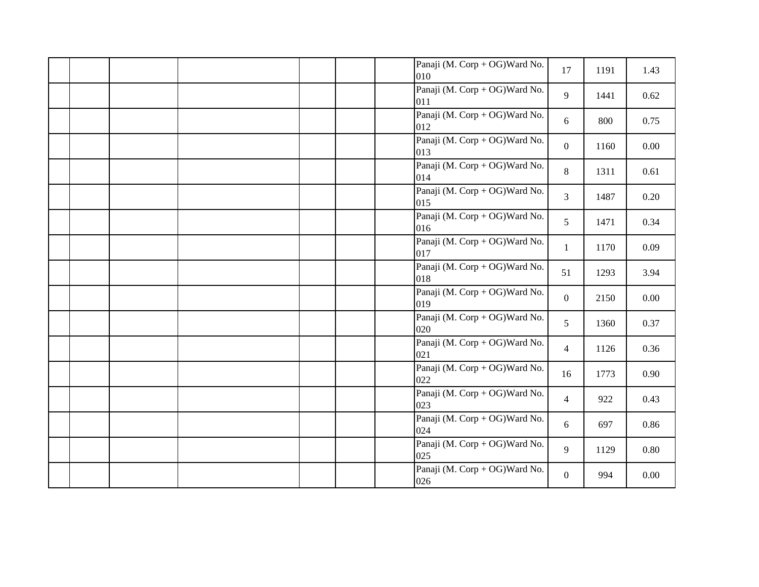|  |  | Panaji (M. Corp + OG) Ward No.<br>010 | 17              | 1191 | 1.43     |
|--|--|---------------------------------------|-----------------|------|----------|
|  |  | Panaji (M. Corp + OG) Ward No.<br>011 | 9               | 1441 | 0.62     |
|  |  | Panaji (M. Corp + OG) Ward No.<br>012 | 6               | 800  | 0.75     |
|  |  | Panaji (M. Corp + OG) Ward No.<br>013 | $\overline{0}$  | 1160 | $0.00\,$ |
|  |  | Panaji (M. Corp + OG) Ward No.<br>014 | 8               | 1311 | 0.61     |
|  |  | Panaji (M. Corp + OG) Ward No.<br>015 | $\overline{3}$  | 1487 | 0.20     |
|  |  | Panaji (M. Corp + OG) Ward No.<br>016 | $5\overline{)}$ | 1471 | 0.34     |
|  |  | Panaji (M. Corp + OG) Ward No.<br>017 | $\mathbf{1}$    | 1170 | 0.09     |
|  |  | Panaji (M. Corp + OG) Ward No.<br>018 | 51              | 1293 | 3.94     |
|  |  | Panaji (M. Corp + OG) Ward No.<br>019 | $\overline{0}$  | 2150 | 0.00     |
|  |  | Panaji (M. Corp + OG) Ward No.<br>020 | 5               | 1360 | 0.37     |
|  |  | Panaji (M. Corp + OG) Ward No.<br>021 | $\overline{4}$  | 1126 | 0.36     |
|  |  | Panaji (M. Corp + OG) Ward No.<br>022 | 16              | 1773 | 0.90     |
|  |  | Panaji (M. Corp + OG) Ward No.<br>023 | $\overline{4}$  | 922  | 0.43     |
|  |  | Panaji (M. Corp + OG) Ward No.<br>024 | 6               | 697  | 0.86     |
|  |  | Panaji (M. Corp + OG) Ward No.<br>025 | 9               | 1129 | $0.80\,$ |
|  |  | Panaji (M. Corp + OG) Ward No.<br>026 | $\overline{0}$  | 994  | 0.00     |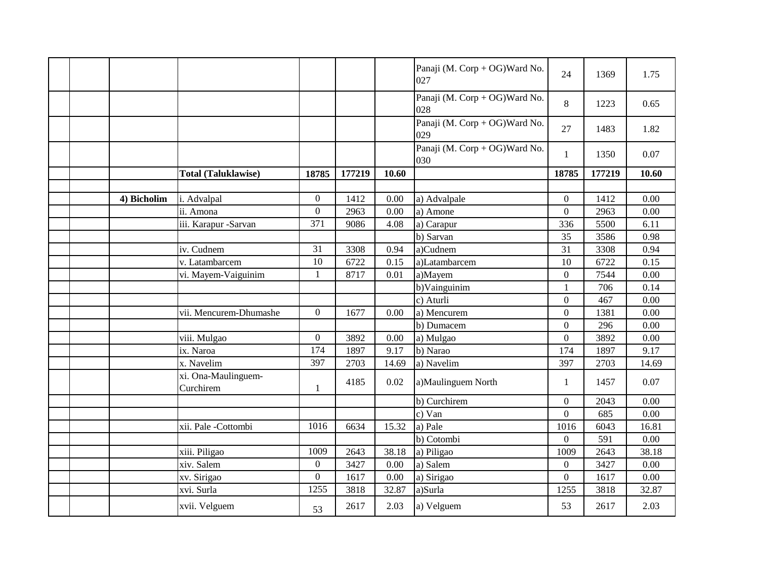|  |             |                                  |                  |        |          | Panaji (M. Corp + OG) Ward No.<br>027 | 24               | 1369   | 1.75  |
|--|-------------|----------------------------------|------------------|--------|----------|---------------------------------------|------------------|--------|-------|
|  |             |                                  |                  |        |          | Panaji (M. Corp + OG) Ward No.<br>028 | 8                | 1223   | 0.65  |
|  |             |                                  |                  |        |          | Panaji (M. Corp + OG) Ward No.<br>029 | 27               | 1483   | 1.82  |
|  |             |                                  |                  |        |          | Panaji (M. Corp + OG) Ward No.<br>030 | $\mathbf{1}$     | 1350   | 0.07  |
|  |             | <b>Total (Taluklawise)</b>       | 18785            | 177219 | 10.60    |                                       | 18785            | 177219 | 10.60 |
|  |             |                                  |                  |        |          |                                       |                  |        |       |
|  | 4) Bicholim | i. Advalpal                      | $\overline{0}$   | 1412   | $0.00\,$ | a) Advalpale                          | $\overline{0}$   | 1412   | 0.00  |
|  |             | ii. Amona                        | $\boldsymbol{0}$ | 2963   | 0.00     | a) Amone                              | $\boldsymbol{0}$ | 2963   | 0.00  |
|  |             | iii. Karapur -Sarvan             | 371              | 9086   | 4.08     | a) Carapur                            | 336              | 5500   | 6.11  |
|  |             |                                  |                  |        |          | b) Sarvan                             | 35               | 3586   | 0.98  |
|  |             | iv. Cudnem                       | 31               | 3308   | 0.94     | a)Cudnem                              | 31               | 3308   | 0.94  |
|  |             | v. Latambarcem                   | 10               | 6722   | 0.15     | a)Latambarcem                         | 10               | 6722   | 0.15  |
|  |             | vi. Mayem-Vaiguinim              | $\mathbf{1}$     | 8717   | 0.01     | a)Mayem                               | $\boldsymbol{0}$ | 7544   | 0.00  |
|  |             |                                  |                  |        |          | b)Vainguinim                          | $\mathbf{1}$     | 706    | 0.14  |
|  |             |                                  |                  |        |          | c) Aturli                             | $\boldsymbol{0}$ | 467    | 0.00  |
|  |             | vii. Mencurem-Dhumashe           | $\overline{0}$   | 1677   | 0.00     | a) Mencurem                           | $\overline{0}$   | 1381   | 0.00  |
|  |             |                                  |                  |        |          | b) Dumacem                            | $\overline{0}$   | 296    | 0.00  |
|  |             | viii. Mulgao                     | $\overline{0}$   | 3892   | 0.00     | a) Mulgao                             | $\boldsymbol{0}$ | 3892   | 0.00  |
|  |             | ix. Naroa                        | 174              | 1897   | 9.17     | b) Narao                              | 174              | 1897   | 9.17  |
|  |             | x. Navelim                       | 397              | 2703   | 14.69    | a) Navelim                            | 397              | 2703   | 14.69 |
|  |             | xi. Ona-Maulinguem-<br>Curchirem | $\mathbf{1}$     | 4185   | 0.02     | a)Maulinguem North                    | $\mathbf{1}$     | 1457   | 0.07  |
|  |             |                                  |                  |        |          | b) Curchirem                          | $\boldsymbol{0}$ | 2043   | 0.00  |
|  |             |                                  |                  |        |          | c) Van                                | $\overline{0}$   | 685    | 0.00  |
|  |             | xii. Pale -Cottombi              | 1016             | 6634   | 15.32    | a) Pale                               | 1016             | 6043   | 16.81 |
|  |             |                                  |                  |        |          | b) Cotombi                            | $\boldsymbol{0}$ | 591    | 0.00  |
|  |             | xiii. Piligao                    | 1009             | 2643   | 38.18    | a) Piligao                            | 1009             | 2643   | 38.18 |
|  |             | xiv. Salem                       | $\boldsymbol{0}$ | 3427   | 0.00     | a) Salem                              | $\overline{0}$   | 3427   | 0.00  |
|  |             | xv. Sirigao                      | $\overline{0}$   | 1617   | 0.00     | a) Sirigao                            | $\overline{0}$   | 1617   | 0.00  |
|  |             | xvi. Surla                       | 1255             | 3818   | 32.87    | a)Surla                               | 1255             | 3818   | 32.87 |
|  |             | xvii. Velguem                    | 53               | 2617   | 2.03     | a) Velguem                            | 53               | 2617   | 2.03  |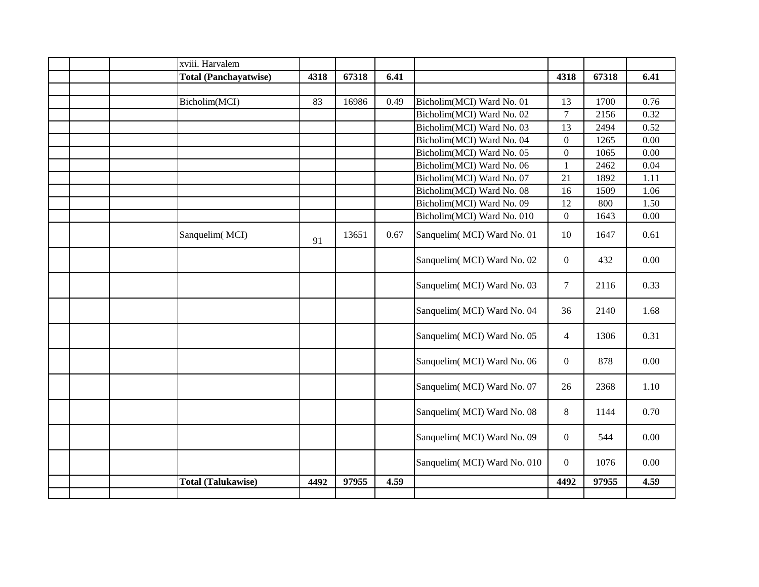|  | xviii. Harvalem              |      |       |      |                             |                  |       |      |
|--|------------------------------|------|-------|------|-----------------------------|------------------|-------|------|
|  | <b>Total (Panchayatwise)</b> | 4318 | 67318 | 6.41 |                             | 4318             | 67318 | 6.41 |
|  |                              |      |       |      |                             |                  |       |      |
|  | Bicholim(MCI)                | 83   | 16986 | 0.49 | Bicholim(MCI) Ward No. 01   | 13               | 1700  | 0.76 |
|  |                              |      |       |      | Bicholim(MCI) Ward No. 02   | $\overline{7}$   | 2156  | 0.32 |
|  |                              |      |       |      | Bicholim(MCI) Ward No. 03   | 13               | 2494  | 0.52 |
|  |                              |      |       |      | Bicholim(MCI) Ward No. 04   | $\boldsymbol{0}$ | 1265  | 0.00 |
|  |                              |      |       |      | Bicholim(MCI) Ward No. 05   | $\boldsymbol{0}$ | 1065  | 0.00 |
|  |                              |      |       |      | Bicholim(MCI) Ward No. 06   | $\mathbf{1}$     | 2462  | 0.04 |
|  |                              |      |       |      | Bicholim(MCI) Ward No. 07   | 21               | 1892  | 1.11 |
|  |                              |      |       |      | Bicholim(MCI) Ward No. 08   | 16               | 1509  | 1.06 |
|  |                              |      |       |      | Bicholim(MCI) Ward No. 09   | 12               | 800   | 1.50 |
|  |                              |      |       |      | Bicholim(MCI) Ward No. 010  | $\mathbf{0}$     | 1643  | 0.00 |
|  | Sanquelim(MCI)               | 91   | 13651 | 0.67 | Sanquelim(MCI) Ward No. 01  | 10               | 1647  | 0.61 |
|  |                              |      |       |      | Sanquelim(MCI) Ward No. 02  | $\mathbf{0}$     | 432   | 0.00 |
|  |                              |      |       |      | Sanquelim(MCI) Ward No. 03  | $\tau$           | 2116  | 0.33 |
|  |                              |      |       |      | Sanquelim(MCI) Ward No. 04  | 36               | 2140  | 1.68 |
|  |                              |      |       |      | Sanquelim(MCI) Ward No. 05  | $\overline{4}$   | 1306  | 0.31 |
|  |                              |      |       |      | Sanquelim(MCI) Ward No. 06  | $\mathbf{0}$     | 878   | 0.00 |
|  |                              |      |       |      | Sanquelim(MCI) Ward No. 07  | 26               | 2368  | 1.10 |
|  |                              |      |       |      | Sanquelim(MCI) Ward No. 08  | 8                | 1144  | 0.70 |
|  |                              |      |       |      | Sanquelim(MCI) Ward No. 09  | $\mathbf{0}$     | 544   | 0.00 |
|  |                              |      |       |      | Sanquelim(MCI) Ward No. 010 | $\mathbf{0}$     | 1076  | 0.00 |
|  | <b>Total (Talukawise)</b>    | 4492 | 97955 | 4.59 |                             | 4492             | 97955 | 4.59 |
|  |                              |      |       |      |                             |                  |       |      |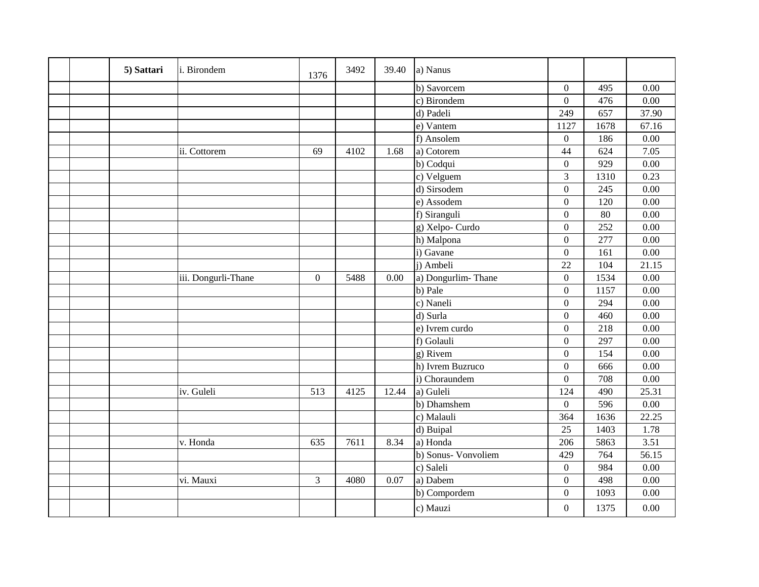|  | 5) Sattari | i. Birondem         | 1376             | 3492 | 39.40 | a) Nanus           |                  |      |                   |
|--|------------|---------------------|------------------|------|-------|--------------------|------------------|------|-------------------|
|  |            |                     |                  |      |       | b) Savorcem        | $\overline{0}$   | 495  | 0.00              |
|  |            |                     |                  |      |       | c) Birondem        | $\overline{0}$   | 476  | 0.00              |
|  |            |                     |                  |      |       | d) Padeli          | 249              | 657  | 37.90             |
|  |            |                     |                  |      |       | e) Vantem          | 1127             | 1678 | 67.16             |
|  |            |                     |                  |      |       | f) Ansolem         | $\boldsymbol{0}$ | 186  | 0.00              |
|  |            | ii. Cottorem        | 69               | 4102 | 1.68  | a) Cotorem         | 44               | 624  | 7.05              |
|  |            |                     |                  |      |       | b) Codqui          | $\overline{0}$   | 929  | 0.00              |
|  |            |                     |                  |      |       | c) Velguem         | 3                | 1310 | 0.23              |
|  |            |                     |                  |      |       | d) Sirsodem        | $\overline{0}$   | 245  | $\overline{0.00}$ |
|  |            |                     |                  |      |       | e) Assodem         | $\overline{0}$   | 120  | 0.00              |
|  |            |                     |                  |      |       | f) Siranguli       | $\overline{0}$   | 80   | 0.00              |
|  |            |                     |                  |      |       | g) Xelpo-Curdo     | $\overline{0}$   | 252  | 0.00              |
|  |            |                     |                  |      |       | h) Malpona         | $\boldsymbol{0}$ | 277  | 0.00              |
|  |            |                     |                  |      |       | i) Gavane          | $\overline{0}$   | 161  | 0.00              |
|  |            |                     |                  |      |       | j) Ambeli          | 22               | 104  | 21.15             |
|  |            | iii. Dongurli-Thane | $\boldsymbol{0}$ | 5488 | 0.00  | a) Dongurlim-Thane | $\overline{0}$   | 1534 | 0.00              |
|  |            |                     |                  |      |       | b) Pale            | $\overline{0}$   | 1157 | 0.00              |
|  |            |                     |                  |      |       | c) Naneli          | $\boldsymbol{0}$ | 294  | 0.00              |
|  |            |                     |                  |      |       | d) Surla           | $\overline{0}$   | 460  | $\overline{0.00}$ |
|  |            |                     |                  |      |       | e) Ivrem curdo     | $\overline{0}$   | 218  | 0.00              |
|  |            |                     |                  |      |       | f) Golauli         | $\overline{0}$   | 297  | 0.00              |
|  |            |                     |                  |      |       | g) Rivem           | $\overline{0}$   | 154  | 0.00              |
|  |            |                     |                  |      |       | h) Ivrem Buzruco   | $\overline{0}$   | 666  | 0.00              |
|  |            |                     |                  |      |       | i) Choraundem      | $\overline{0}$   | 708  | 0.00              |
|  |            | iv. Guleli          | 513              | 4125 | 12.44 | a) Guleli          | 124              | 490  | 25.31             |
|  |            |                     |                  |      |       | b) Dhamshem        | $\overline{0}$   | 596  | 0.00              |
|  |            |                     |                  |      |       | c) Malauli         | 364              | 1636 | 22.25             |
|  |            |                     |                  |      |       | d) Buipal          | 25               | 1403 | 1.78              |
|  |            | v. Honda            | 635              | 7611 | 8.34  | a) Honda           | 206              | 5863 | 3.51              |
|  |            |                     |                  |      |       | b) Sonus-Vonvoliem | 429              | 764  | 56.15             |
|  |            |                     |                  |      |       | c) Saleli          | $\overline{0}$   | 984  | 0.00              |
|  |            | vi. Mauxi           | $\overline{3}$   | 4080 | 0.07  | a) Dabem           | $\boldsymbol{0}$ | 498  | 0.00              |
|  |            |                     |                  |      |       | b) Compordem       | $\overline{0}$   | 1093 | 0.00              |
|  |            |                     |                  |      |       | c) Mauzi           | $\boldsymbol{0}$ | 1375 | 0.00              |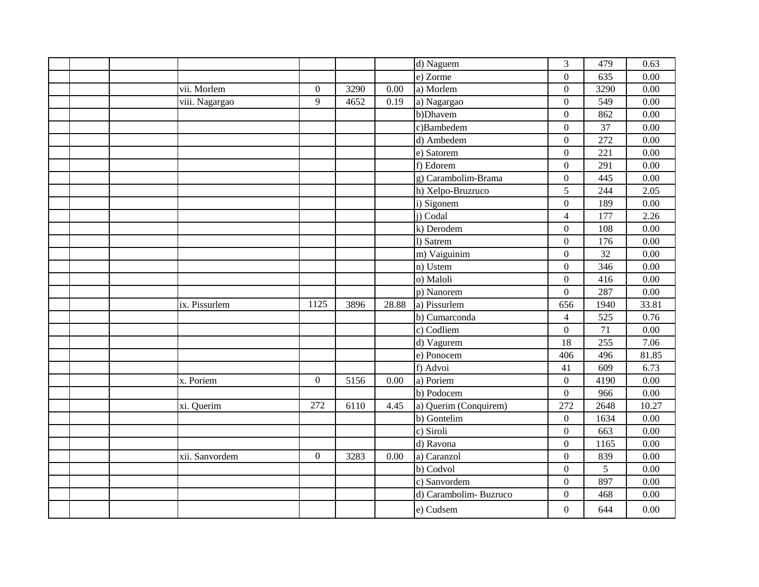|  |                |                  |      |          | d) Naguem             | 3                | 479  | 0.63     |
|--|----------------|------------------|------|----------|-----------------------|------------------|------|----------|
|  |                |                  |      |          | e) Zorme              | $\overline{0}$   | 635  | 0.00     |
|  | vii. Morlem    | $\boldsymbol{0}$ | 3290 | 0.00     | a) Morlem             | $\overline{0}$   | 3290 | 0.00     |
|  | viii. Nagargao | 9                | 4652 | 0.19     | a) Nagargao           | $\boldsymbol{0}$ | 549  | 0.00     |
|  |                |                  |      |          | b)Dhavem              | $\boldsymbol{0}$ | 862  | 0.00     |
|  |                |                  |      |          | c)Bambedem            | $\boldsymbol{0}$ | 37   | 0.00     |
|  |                |                  |      |          | d) Ambedem            | $\overline{0}$   | 272  | 0.00     |
|  |                |                  |      |          | e) Satorem            | $\mathbf{0}$     | 221  | 0.00     |
|  |                |                  |      |          | f) Edorem             | $\boldsymbol{0}$ | 291  | 0.00     |
|  |                |                  |      |          | g) Carambolim-Brama   | $\boldsymbol{0}$ | 445  | 0.00     |
|  |                |                  |      |          | h) Xelpo-Bruzruco     | 5                | 244  | 2.05     |
|  |                |                  |      |          | i) Sigonem            | $\overline{0}$   | 189  | 0.00     |
|  |                |                  |      |          | j) Codal              | $\overline{4}$   | 177  | 2.26     |
|  |                |                  |      |          | k) Derodem            | $\boldsymbol{0}$ | 108  | 0.00     |
|  |                |                  |      |          | 1) Satrem             | $\overline{0}$   | 176  | 0.00     |
|  |                |                  |      |          | m) Vaiguinim          | $\overline{0}$   | 32   | 0.00     |
|  |                |                  |      |          | n) Ustem              | $\overline{0}$   | 346  | 0.00     |
|  |                |                  |      |          | o) Maloli             | $\boldsymbol{0}$ | 416  | 0.00     |
|  |                |                  |      |          | p) Nanorem            | $\boldsymbol{0}$ | 287  | 0.00     |
|  | ix. Pissurlem  | 1125             | 3896 | 28.88    | a) Pissurlem          | 656              | 1940 | 33.81    |
|  |                |                  |      |          | b) Cumarconda         | 4                | 525  | 0.76     |
|  |                |                  |      |          | c) Codliem            | $\overline{0}$   | 71   | 0.00     |
|  |                |                  |      |          | d) Vagurem            | 18               | 255  | 7.06     |
|  |                |                  |      |          | e) Ponocem            | 406              | 496  | 81.85    |
|  |                |                  |      |          | f) Advoi              | 41               | 609  | 6.73     |
|  | x. Poriem      | $\boldsymbol{0}$ | 5156 | 0.00     | a) Poriem             | $\overline{0}$   | 4190 | 0.00     |
|  |                |                  |      |          | b) Podocem            | $\overline{0}$   | 966  | 0.00     |
|  | xi. Querim     | 272              | 6110 | 4.45     | a) Querim (Conquirem) | 272              | 2648 | 10.27    |
|  |                |                  |      |          | b) Gontelim           | $\mathbf{0}$     | 1634 | 0.00     |
|  |                |                  |      |          | c) Siroli             | $\boldsymbol{0}$ | 663  | 0.00     |
|  |                |                  |      |          | d) Ravona             | $\overline{0}$   | 1165 | 0.00     |
|  | xii. Sanvordem | $\boldsymbol{0}$ | 3283 | $0.00\,$ | a) Caranzol           | $\boldsymbol{0}$ | 839  | $0.00\,$ |
|  |                |                  |      |          | b) Codvol             | $\overline{0}$   | 5    | 0.00     |
|  |                |                  |      |          | c) Sanvordem          | $\boldsymbol{0}$ | 897  | 0.00     |
|  |                |                  |      |          | d) Carambolim-Buzruco | $\overline{0}$   | 468  | $0.00\,$ |
|  |                |                  |      |          | e) Cudsem             | $\mathbf{0}$     | 644  | 0.00     |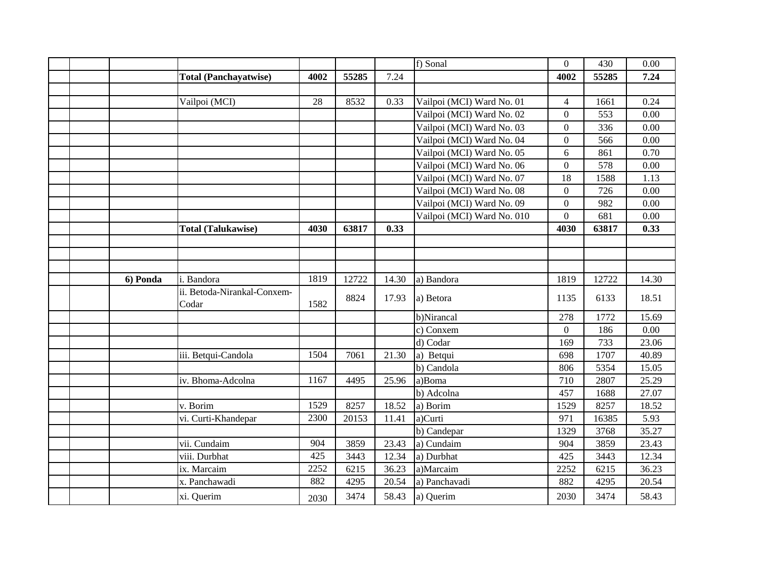|          |                                      |      |       |       | f) Sonal                   | $\overline{0}$ | 430   | 0.00  |
|----------|--------------------------------------|------|-------|-------|----------------------------|----------------|-------|-------|
|          | <b>Total (Panchayatwise)</b>         | 4002 | 55285 | 7.24  |                            | 4002           | 55285 | 7.24  |
|          |                                      |      |       |       |                            |                |       |       |
|          | Vailpoi (MCI)                        | 28   | 8532  | 0.33  | Vailpoi (MCI) Ward No. 01  | $\overline{4}$ | 1661  | 0.24  |
|          |                                      |      |       |       | Vailpoi (MCI) Ward No. 02  | $\overline{0}$ | 553   | 0.00  |
|          |                                      |      |       |       | Vailpoi (MCI) Ward No. 03  | $\overline{0}$ | 336   | 0.00  |
|          |                                      |      |       |       | Vailpoi (MCI) Ward No. 04  | $\overline{0}$ | 566   | 0.00  |
|          |                                      |      |       |       | Vailpoi (MCI) Ward No. 05  | 6              | 861   | 0.70  |
|          |                                      |      |       |       | Vailpoi (MCI) Ward No. 06  | $\overline{0}$ | 578   | 0.00  |
|          |                                      |      |       |       | Vailpoi (MCI) Ward No. 07  | 18             | 1588  | 1.13  |
|          |                                      |      |       |       | Vailpoi (MCI) Ward No. 08  | $\overline{0}$ | 726   | 0.00  |
|          |                                      |      |       |       | Vailpoi (MCI) Ward No. 09  | $\overline{0}$ | 982   | 0.00  |
|          |                                      |      |       |       | Vailpoi (MCI) Ward No. 010 | $\overline{0}$ | 681   | 0.00  |
|          | <b>Total (Talukawise)</b>            | 4030 | 63817 | 0.33  |                            | 4030           | 63817 | 0.33  |
|          |                                      |      |       |       |                            |                |       |       |
|          |                                      |      |       |       |                            |                |       |       |
|          |                                      |      |       |       |                            |                |       |       |
| 6) Ponda | i. Bandora                           | 1819 | 12722 | 14.30 | a) Bandora                 | 1819           | 12722 | 14.30 |
|          | ii. Betoda-Nirankal-Conxem-<br>Codar | 1582 | 8824  | 17.93 | a) Betora                  | 1135           | 6133  | 18.51 |
|          |                                      |      |       |       | b)Nirancal                 | 278            | 1772  | 15.69 |
|          |                                      |      |       |       | c) Conxem                  | $\overline{0}$ | 186   | 0.00  |
|          |                                      |      |       |       | d) Codar                   | 169            | 733   | 23.06 |
|          | iii. Betqui-Candola                  | 1504 | 7061  | 21.30 | a) Betqui                  | 698            | 1707  | 40.89 |
|          |                                      |      |       |       | b) Candola                 | 806            | 5354  | 15.05 |
|          | iv. Bhoma-Adcolna                    | 1167 | 4495  | 25.96 | a)Boma                     | 710            | 2807  | 25.29 |
|          |                                      |      |       |       | b) Adcolna                 | 457            | 1688  | 27.07 |
|          | v. Borim                             | 1529 | 8257  | 18.52 | a) Borim                   | 1529           | 8257  | 18.52 |
|          | vi. Curti-Khandepar                  | 2300 | 20153 | 11.41 | a)Curti                    | 971            | 16385 | 5.93  |
|          |                                      |      |       |       | b) Candepar                | 1329           | 3768  | 35.27 |
|          | vii. Cundaim                         | 904  | 3859  | 23.43 | a) Cundaim                 | 904            | 3859  | 23.43 |
|          | viii. Durbhat                        | 425  | 3443  | 12.34 | a) Durbhat                 | 425            | 3443  | 12.34 |
|          | ix. Marcaim                          | 2252 | 6215  | 36.23 | a)Marcaim                  | 2252           | 6215  | 36.23 |
|          | x. Panchawadi                        | 882  | 4295  | 20.54 | a) Panchavadi              | 882            | 4295  | 20.54 |
|          | xi. Querim                           | 2030 | 3474  | 58.43 | a) Querim                  | 2030           | 3474  | 58.43 |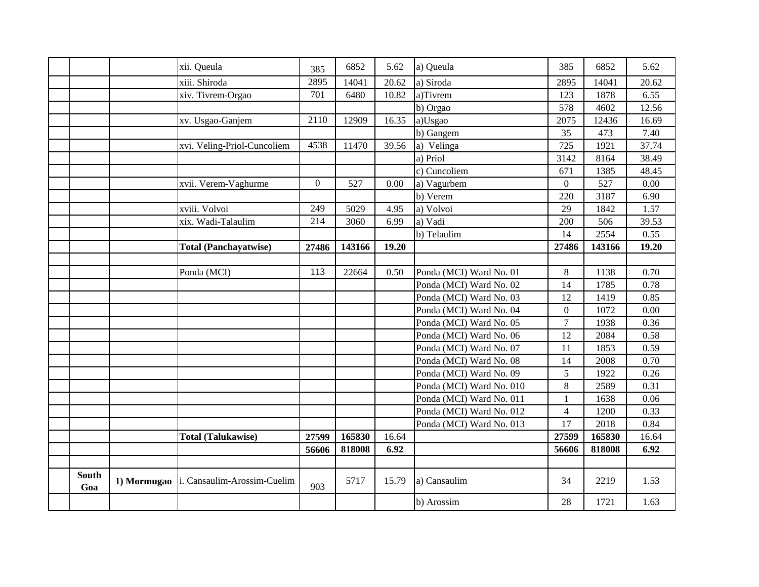|              |             | xii. Queula                  | 385            | 6852   | 5.62  | a) Queula                | 385            | 6852   | 5.62  |
|--------------|-------------|------------------------------|----------------|--------|-------|--------------------------|----------------|--------|-------|
|              |             | xiii. Shiroda                | 2895           | 14041  | 20.62 | a) Siroda                | 2895           | 14041  | 20.62 |
|              |             | xiv. Tivrem-Orgao            | 701            | 6480   | 10.82 | a)Tivrem                 | 123            | 1878   | 6.55  |
|              |             |                              |                |        |       | b) Orgao                 | 578            | 4602   | 12.56 |
|              |             | xv. Usgao-Ganjem             | 2110           | 12909  | 16.35 | a)Usgao                  | 2075           | 12436  | 16.69 |
|              |             |                              |                |        |       | b) Gangem                | 35             | 473    | 7.40  |
|              |             | xvi. Veling-Priol-Cuncoliem  | 4538           | 11470  | 39.56 | a) Velinga               | 725            | 1921   | 37.74 |
|              |             |                              |                |        |       | a) Priol                 | 3142           | 8164   | 38.49 |
|              |             |                              |                |        |       | c) Cuncoliem             | 671            | 1385   | 48.45 |
|              |             | xvii. Verem-Vaghurme         | $\overline{0}$ | 527    | 0.00  | a) Vagurbem              | $\overline{0}$ | 527    | 0.00  |
|              |             |                              |                |        |       | b) Verem                 | 220            | 3187   | 6.90  |
|              |             | xviii. Volvoi                | 249            | 5029   | 4.95  | a) Volvoi                | 29             | 1842   | 1.57  |
|              |             | xix. Wadi-Talaulim           | 214            | 3060   | 6.99  | a) Vadi                  | 200            | 506    | 39.53 |
|              |             |                              |                |        |       | b) Telaulim              | 14             | 2554   | 0.55  |
|              |             | <b>Total (Panchayatwise)</b> | 27486          | 143166 | 19.20 |                          | 27486          | 143166 | 19.20 |
|              |             |                              |                |        |       |                          |                |        |       |
|              |             | Ponda (MCI)                  | 113            | 22664  | 0.50  | Ponda (MCI) Ward No. 01  | $8\,$          | 1138   | 0.70  |
|              |             |                              |                |        |       | Ponda (MCI) Ward No. 02  | 14             | 1785   | 0.78  |
|              |             |                              |                |        |       | Ponda (MCI) Ward No. 03  | 12             | 1419   | 0.85  |
|              |             |                              |                |        |       | Ponda (MCI) Ward No. 04  | $\overline{0}$ | 1072   | 0.00  |
|              |             |                              |                |        |       | Ponda (MCI) Ward No. 05  | $\overline{7}$ | 1938   | 0.36  |
|              |             |                              |                |        |       | Ponda (MCI) Ward No. 06  | 12             | 2084   | 0.58  |
|              |             |                              |                |        |       | Ponda (MCI) Ward No. 07  | 11             | 1853   | 0.59  |
|              |             |                              |                |        |       | Ponda (MCI) Ward No. 08  | 14             | 2008   | 0.70  |
|              |             |                              |                |        |       | Ponda (MCI) Ward No. 09  | 5              | 1922   | 0.26  |
|              |             |                              |                |        |       | Ponda (MCI) Ward No. 010 | 8              | 2589   | 0.31  |
|              |             |                              |                |        |       | Ponda (MCI) Ward No. 011 | $\mathbf{1}$   | 1638   | 0.06  |
|              |             |                              |                |        |       | Ponda (MCI) Ward No. 012 | $\overline{4}$ | 1200   | 0.33  |
|              |             |                              |                |        |       | Ponda (MCI) Ward No. 013 | 17             | 2018   | 0.84  |
|              |             | <b>Total (Talukawise)</b>    | 27599          | 165830 | 16.64 |                          | 27599          | 165830 | 16.64 |
|              |             |                              | 56606          | 818008 | 6.92  |                          | 56606          | 818008 | 6.92  |
|              |             |                              |                |        |       |                          |                |        |       |
| South<br>Goa | 1) Mormugao | i. Cansaulim-Arossim-Cuelim  | 903            | 5717   | 15.79 | a) Cansaulim             | 34             | 2219   | 1.53  |
|              |             |                              |                |        |       | b) Arossim               | 28             | 1721   | 1.63  |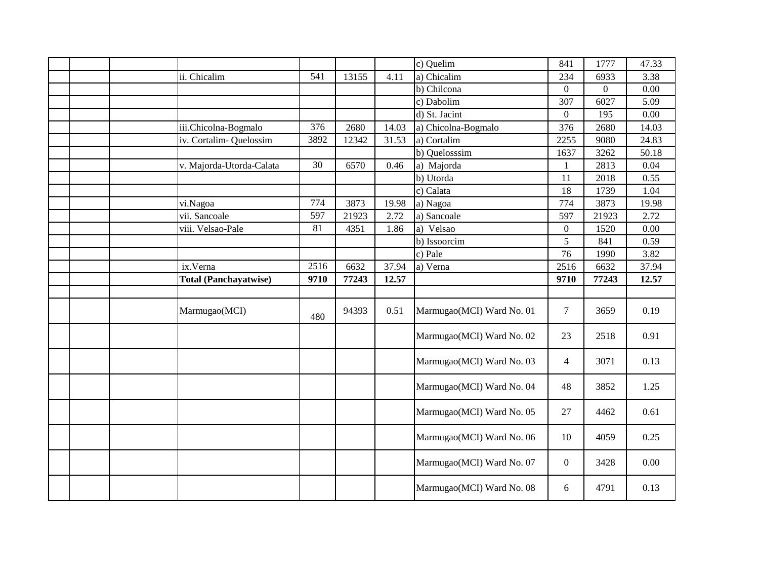|  |                              |      |       |       | c) Quelim                 | 841              | 1777           | 47.33 |
|--|------------------------------|------|-------|-------|---------------------------|------------------|----------------|-------|
|  | ii. Chicalim                 | 541  | 13155 | 4.11  | a) Chicalim               | 234              | 6933           | 3.38  |
|  |                              |      |       |       | b) Chilcona               | $\overline{0}$   | $\overline{0}$ | 0.00  |
|  |                              |      |       |       | c) Dabolim                | 307              | 6027           | 5.09  |
|  |                              |      |       |       | d) St. Jacint             | $\overline{0}$   | 195            | 0.00  |
|  | iii.Chicolna-Bogmalo         | 376  | 2680  | 14.03 | a) Chicolna-Bogmalo       | 376              | 2680           | 14.03 |
|  | iv. Cortalim-Quelossim       | 3892 | 12342 | 31.53 | a) Cortalim               | 2255             | 9080           | 24.83 |
|  |                              |      |       |       | b) Quelosssim             | 1637             | 3262           | 50.18 |
|  | v. Majorda-Utorda-Calata     | 30   | 6570  | 0.46  | a) Majorda                | $\mathbf{1}$     | 2813           | 0.04  |
|  |                              |      |       |       | b) Utorda                 | 11               | 2018           | 0.55  |
|  |                              |      |       |       | c) Calata                 | 18               | 1739           | 1.04  |
|  | vi.Nagoa                     | 774  | 3873  | 19.98 | a) Nagoa                  | 774              | 3873           | 19.98 |
|  | vii. Sancoale                | 597  | 21923 | 2.72  | a) Sancoale               | 597              | 21923          | 2.72  |
|  | viii. Velsao-Pale            | 81   | 4351  | 1.86  | a) Velsao                 | $\overline{0}$   | 1520           | 0.00  |
|  |                              |      |       |       | b) Issoorcim              | 5                | 841            | 0.59  |
|  |                              |      |       |       | c) Pale                   | 76               | 1990           | 3.82  |
|  | ix.Verna                     | 2516 | 6632  | 37.94 | a) Verna                  | 2516             | 6632           | 37.94 |
|  | <b>Total (Panchayatwise)</b> | 9710 | 77243 | 12.57 |                           | 9710             | 77243          | 12.57 |
|  |                              |      |       |       |                           |                  |                |       |
|  | Marmugao(MCI)                | 480  | 94393 | 0.51  | Marmugao(MCI) Ward No. 01 | $\overline{7}$   | 3659           | 0.19  |
|  |                              |      |       |       | Marmugao(MCI) Ward No. 02 | 23               | 2518           | 0.91  |
|  |                              |      |       |       | Marmugao(MCI) Ward No. 03 | $\overline{4}$   | 3071           | 0.13  |
|  |                              |      |       |       | Marmugao(MCI) Ward No. 04 | 48               | 3852           | 1.25  |
|  |                              |      |       |       | Marmugao(MCI) Ward No. 05 | 27               | 4462           | 0.61  |
|  |                              |      |       |       | Marmugao(MCI) Ward No. 06 | 10               | 4059           | 0.25  |
|  |                              |      |       |       | Marmugao(MCI) Ward No. 07 | $\boldsymbol{0}$ | 3428           | 0.00  |
|  |                              |      |       |       | Marmugao(MCI) Ward No. 08 | 6                | 4791           | 0.13  |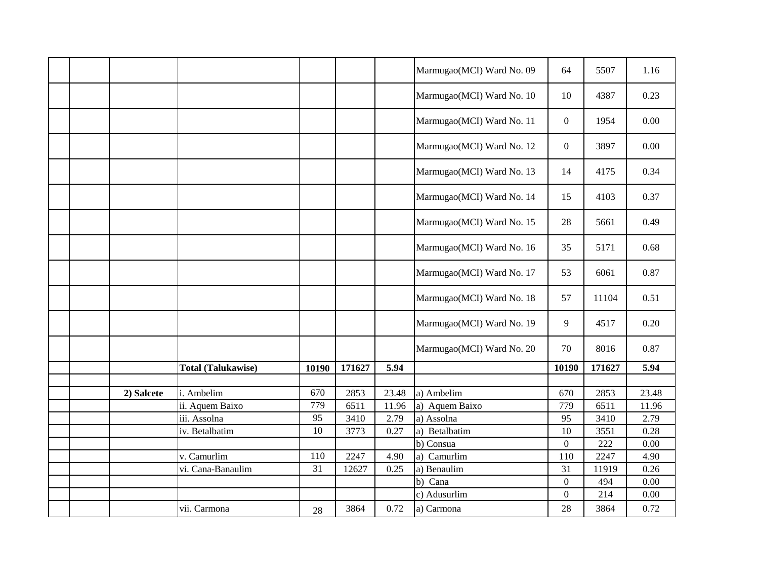|  |            |                           |       |        |       | Marmugao(MCI) Ward No. 09 | 64               | 5507   | 1.16  |
|--|------------|---------------------------|-------|--------|-------|---------------------------|------------------|--------|-------|
|  |            |                           |       |        |       | Marmugao(MCI) Ward No. 10 | 10               | 4387   | 0.23  |
|  |            |                           |       |        |       | Marmugao(MCI) Ward No. 11 | $\boldsymbol{0}$ | 1954   | 0.00  |
|  |            |                           |       |        |       | Marmugao(MCI) Ward No. 12 | $\boldsymbol{0}$ | 3897   | 0.00  |
|  |            |                           |       |        |       | Marmugao(MCI) Ward No. 13 | 14               | 4175   | 0.34  |
|  |            |                           |       |        |       | Marmugao(MCI) Ward No. 14 | 15               | 4103   | 0.37  |
|  |            |                           |       |        |       | Marmugao(MCI) Ward No. 15 | 28               | 5661   | 0.49  |
|  |            |                           |       |        |       | Marmugao(MCI) Ward No. 16 | 35               | 5171   | 0.68  |
|  |            |                           |       |        |       | Marmugao(MCI) Ward No. 17 | 53               | 6061   | 0.87  |
|  |            |                           |       |        |       | Marmugao(MCI) Ward No. 18 | 57               | 11104  | 0.51  |
|  |            |                           |       |        |       | Marmugao(MCI) Ward No. 19 | 9                | 4517   | 0.20  |
|  |            |                           |       |        |       | Marmugao(MCI) Ward No. 20 | 70               | 8016   | 0.87  |
|  |            | <b>Total (Talukawise)</b> | 10190 | 171627 | 5.94  |                           | 10190            | 171627 | 5.94  |
|  | 2) Salcete | i. Ambelim                | 670   | 2853   | 23.48 | a) Ambelim                | 670              | 2853   | 23.48 |
|  |            | ii. Aquem Baixo           | 779   | 6511   | 11.96 | a) Aquem Baixo            | 779              | 6511   | 11.96 |
|  |            | iii. Assolna              | 95    | 3410   | 2.79  | a) Assolna                | 95               | 3410   | 2.79  |
|  |            | iv. Betalbatim            | 10    | 3773   | 0.27  | a) Betalbatim             | 10               | 3551   | 0.28  |
|  |            |                           |       |        |       | b) Consua                 | $\overline{0}$   | 222    | 0.00  |
|  |            | v. Camurlim               | 110   | 2247   | 4.90  | a) Camurlim               | 110              | 2247   | 4.90  |
|  |            | vi. Cana-Banaulim         | 31    | 12627  | 0.25  | a) Benaulim               | 31               | 11919  | 0.26  |
|  |            |                           |       |        |       | b) Cana                   | $\boldsymbol{0}$ | 494    | 0.00  |
|  |            |                           |       |        |       | c) Adusurlim              | $\overline{0}$   | 214    | 0.00  |
|  |            | vii. Carmona              | 28    | 3864   | 0.72  | a) Carmona                | 28               | 3864   | 0.72  |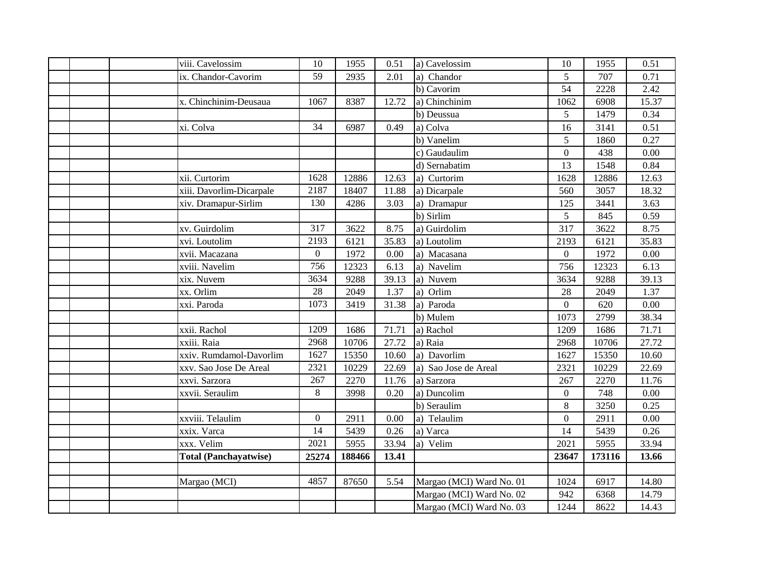| viii. Cavelossim                             | 10               | 1955            | 0.51  | a) Cavelossim                                                                    | 10                   | 1955                           | 0.51                    |
|----------------------------------------------|------------------|-----------------|-------|----------------------------------------------------------------------------------|----------------------|--------------------------------|-------------------------|
| ix. Chandor-Cavorim                          | 59               | 2935            | 2.01  | a) Chandor                                                                       | 5                    | 707                            | 0.71                    |
|                                              |                  |                 |       | b) Cavorim                                                                       | 54                   | 2228                           | 2.42                    |
| x. Chinchinim-Deusaua                        | 1067             | 8387            | 12.72 | a) Chinchinim                                                                    | 1062                 | 6908                           | 15.37                   |
|                                              |                  |                 |       | b) Deussua                                                                       | $\overline{5}$       |                                | 0.34                    |
|                                              | 34               |                 |       |                                                                                  |                      | 1479                           |                         |
| xi. Colva                                    |                  | 6987            | 0.49  | a) Colva                                                                         | 16                   | 3141                           | 0.51                    |
|                                              |                  |                 |       | b) Vanelim                                                                       | 5                    | 1860                           | 0.27                    |
|                                              |                  |                 |       | c) Gaudaulim                                                                     | $\overline{0}$       | 438                            | 0.00                    |
|                                              |                  |                 |       | d) Sernabatim                                                                    | 13                   | 1548                           | 0.84                    |
| xii. Curtorim                                | 1628             | 12886           | 12.63 | a) Curtorim                                                                      | 1628                 | 12886                          | 12.63                   |
| xiii. Davorlim-Dicarpale                     | 2187             | 18407           | 11.88 | a) Dicarpale                                                                     | 560                  | 3057                           | 18.32                   |
| xiv. Dramapur-Sirlim                         | 130              | 4286            | 3.03  | a) Dramapur                                                                      | 125                  | 3441                           | 3.63                    |
|                                              |                  |                 |       | b) Sirlim                                                                        | 5                    | 845                            | 0.59                    |
| xv. Guirdolim                                | 317              | 3622            | 8.75  | a) Guirdolim                                                                     | 317                  | 3622                           | 8.75                    |
| xvi. Loutolim                                | 2193             | 6121            | 35.83 | a) Loutolim                                                                      | 2193                 | 6121                           | 35.83                   |
| xvii. Macazana                               | $\boldsymbol{0}$ | 1972            | 0.00  | a) Macasana                                                                      | $\overline{0}$       | 1972                           | 0.00                    |
| xviii. Navelim                               | 756              | 12323           | 6.13  | a) Navelim                                                                       | 756                  | 12323                          | 6.13                    |
| xix. Nuvem                                   | 3634             | 9288            | 39.13 | a) Nuvem                                                                         | 3634                 | 9288                           | 39.13                   |
| xx. Orlim                                    | 28               | 2049            | 1.37  | a) Orlim                                                                         | 28                   | 2049                           | 1.37                    |
| xxi. Paroda                                  | 1073             | 3419            | 31.38 | a) Paroda                                                                        | $\overline{0}$       | 620                            | 0.00                    |
|                                              |                  |                 |       | b) Mulem                                                                         | 1073                 | 2799                           | 38.34                   |
| xxii. Rachol                                 | 1209             | 1686            | 71.71 | a) Rachol                                                                        | 1209                 | 1686                           | 71.71                   |
| xxiii. Raia                                  | 2968             | 10706           | 27.72 | a) Raia                                                                          | 2968                 | 10706                          | 27.72                   |
| xxiv. Rumdamol-Davorlim                      | 1627             | 15350           | 10.60 | a) Davorlim                                                                      | 1627                 | 15350                          | 10.60                   |
| xxv. Sao Jose De Areal                       | 2321             | 10229           | 22.69 | a) Sao Jose de Areal                                                             | 2321                 | 10229                          | 22.69                   |
| xxvi. Sarzora                                | 267              | 2270            | 11.76 | a) Sarzora                                                                       | 267                  | 2270                           | 11.76                   |
| xxvii. Seraulim                              | 8                | 3998            | 0.20  | a) Duncolim                                                                      | $\overline{0}$       | 748                            | 0.00                    |
|                                              |                  |                 |       | b) Seraulim                                                                      | 8                    | 3250                           | 0.25                    |
| xxviii. Telaulim                             | $\overline{0}$   | 2911            | 0.00  | a) Telaulim                                                                      | $\overline{0}$       | 2911                           | 0.00                    |
| xxix. Varca                                  | 14               | 5439            | 0.26  | a) Varca                                                                         | 14                   | 5439                           | 0.26                    |
| xxx. Velim                                   | 2021             | 5955            | 33.94 | a) Velim                                                                         | 2021                 | 5955                           | 33.94                   |
|                                              |                  |                 |       |                                                                                  |                      |                                |                         |
|                                              |                  |                 |       |                                                                                  |                      |                                |                         |
|                                              | 4857             |                 | 5.54  |                                                                                  | 1024                 |                                | 14.80                   |
|                                              |                  |                 |       |                                                                                  |                      |                                |                         |
|                                              |                  |                 |       |                                                                                  |                      |                                |                         |
| <b>Total (Panchayatwise)</b><br>Margao (MCI) | 25274            | 188466<br>87650 | 13.41 | Margao (MCI) Ward No. 01<br>Margao (MCI) Ward No. 02<br>Margao (MCI) Ward No. 03 | 23647<br>942<br>1244 | 173116<br>6917<br>6368<br>8622 | 13.66<br>14.79<br>14.43 |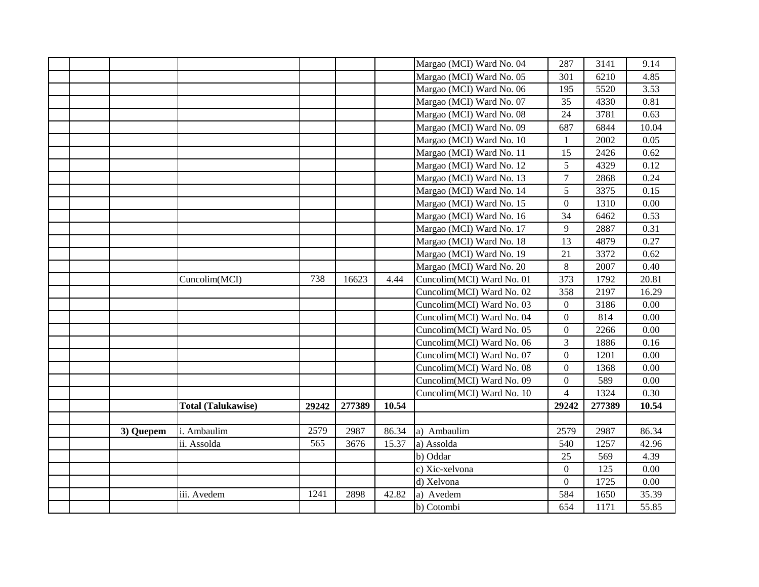|  |           |                           |       |        |       | Margao (MCI) Ward No. 04  | 287              | 3141   | 9.14  |
|--|-----------|---------------------------|-------|--------|-------|---------------------------|------------------|--------|-------|
|  |           |                           |       |        |       | Margao (MCI) Ward No. 05  | 301              | 6210   | 4.85  |
|  |           |                           |       |        |       | Margao (MCI) Ward No. 06  | 195              | 5520   | 3.53  |
|  |           |                           |       |        |       | Margao (MCI) Ward No. 07  | 35               | 4330   | 0.81  |
|  |           |                           |       |        |       | Margao (MCI) Ward No. 08  | 24               | 3781   | 0.63  |
|  |           |                           |       |        |       | Margao (MCI) Ward No. 09  | 687              | 6844   | 10.04 |
|  |           |                           |       |        |       | Margao (MCI) Ward No. 10  | 1                | 2002   | 0.05  |
|  |           |                           |       |        |       | Margao (MCI) Ward No. 11  | 15               | 2426   | 0.62  |
|  |           |                           |       |        |       | Margao (MCI) Ward No. 12  | 5                | 4329   | 0.12  |
|  |           |                           |       |        |       | Margao (MCI) Ward No. 13  | $\overline{7}$   | 2868   | 0.24  |
|  |           |                           |       |        |       | Margao (MCI) Ward No. 14  | 5                | 3375   | 0.15  |
|  |           |                           |       |        |       | Margao (MCI) Ward No. 15  | $\overline{0}$   | 1310   | 0.00  |
|  |           |                           |       |        |       | Margao (MCI) Ward No. 16  | 34               | 6462   | 0.53  |
|  |           |                           |       |        |       | Margao (MCI) Ward No. 17  | 9                | 2887   | 0.31  |
|  |           |                           |       |        |       | Margao (MCI) Ward No. 18  | 13               | 4879   | 0.27  |
|  |           |                           |       |        |       | Margao (MCI) Ward No. 19  | 21               | 3372   | 0.62  |
|  |           |                           |       |        |       | Margao (MCI) Ward No. 20  | $8\,$            | 2007   | 0.40  |
|  |           | Cuncolim(MCI)             | 738   | 16623  | 4.44  | Cuncolim(MCI) Ward No. 01 | 373              | 1792   | 20.81 |
|  |           |                           |       |        |       | Cuncolim(MCI) Ward No. 02 | 358              | 2197   | 16.29 |
|  |           |                           |       |        |       | Cuncolim(MCI) Ward No. 03 | $\overline{0}$   | 3186   | 0.00  |
|  |           |                           |       |        |       | Cuncolim(MCI) Ward No. 04 | $\overline{0}$   | 814    | 0.00  |
|  |           |                           |       |        |       | Cuncolim(MCI) Ward No. 05 | $\boldsymbol{0}$ | 2266   | 0.00  |
|  |           |                           |       |        |       | Cuncolim(MCI) Ward No. 06 | $\overline{3}$   | 1886   | 0.16  |
|  |           |                           |       |        |       | Cuncolim(MCI) Ward No. 07 | $\overline{0}$   | 1201   | 0.00  |
|  |           |                           |       |        |       | Cuncolim(MCI) Ward No. 08 | $\overline{0}$   | 1368   | 0.00  |
|  |           |                           |       |        |       | Cuncolim(MCI) Ward No. 09 | $\overline{0}$   | 589    | 0.00  |
|  |           |                           |       |        |       | Cuncolim(MCI) Ward No. 10 | $\overline{4}$   | 1324   | 0.30  |
|  |           | <b>Total (Talukawise)</b> | 29242 | 277389 | 10.54 |                           | 29242            | 277389 | 10.54 |
|  |           |                           |       |        |       |                           |                  |        |       |
|  | 3) Quepem | i. Ambaulim               | 2579  | 2987   | 86.34 | a) Ambaulim               | 2579             | 2987   | 86.34 |
|  |           | ii. Assolda               | 565   | 3676   | 15.37 | a) Assolda                | 540              | 1257   | 42.96 |
|  |           |                           |       |        |       | b) Oddar                  | 25               | 569    | 4.39  |
|  |           |                           |       |        |       | c) Xic-xelvona            | $\overline{0}$   | 125    | 0.00  |
|  |           |                           |       |        |       | d) Xelvona                | $\overline{0}$   | 1725   | 0.00  |
|  |           | iii. Avedem               | 1241  | 2898   | 42.82 | a) Avedem                 | 584              | 1650   | 35.39 |
|  |           |                           |       |        |       | b) Cotombi                | 654              | 1171   | 55.85 |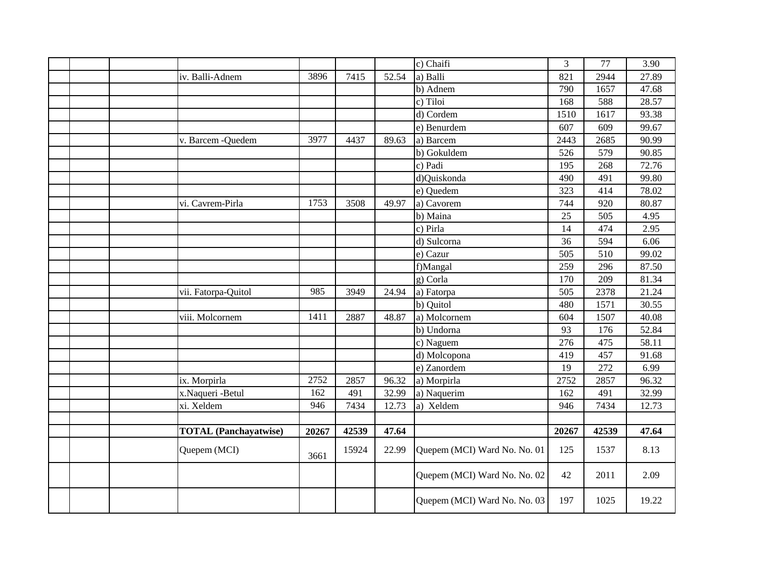|              |                              |       |       |       | c) Chaifi                    | 3     | 77    | 3.90  |
|--------------|------------------------------|-------|-------|-------|------------------------------|-------|-------|-------|
|              | iv. Balli-Adnem              | 3896  | 7415  | 52.54 | a) Balli                     | 821   | 2944  | 27.89 |
|              |                              |       |       |       | b) Adnem                     | 790   | 1657  | 47.68 |
|              |                              |       |       |       | c) Tiloi                     | 168   | 588   | 28.57 |
|              |                              |       |       |       | d) Cordem                    | 1510  | 1617  | 93.38 |
|              |                              |       |       |       | e) Benurdem                  | 607   | 609   | 99.67 |
|              | v. Barcem - Quedem           | 3977  | 4437  | 89.63 | a) Barcem                    | 2443  | 2685  | 90.99 |
|              |                              |       |       |       | b) Gokuldem                  | 526   | 579   | 90.85 |
|              |                              |       |       |       | c) Padi                      | 195   | 268   | 72.76 |
|              |                              |       |       |       | d)Quiskonda                  | 490   | 491   | 99.80 |
|              |                              |       |       |       | e) Quedem                    | 323   | 414   | 78.02 |
|              | vi. Cavrem-Pirla             | 1753  | 3508  | 49.97 | a) Cavorem                   | 744   | 920   | 80.87 |
|              |                              |       |       |       | b) Maina                     | 25    | 505   | 4.95  |
|              |                              |       |       |       | c) Pirla                     | 14    | 474   | 2.95  |
|              |                              |       |       |       | d) Sulcorna                  | 36    | 594   | 6.06  |
|              |                              |       |       |       | e) Cazur                     | 505   | 510   | 99.02 |
|              |                              |       |       |       | f)Mangal                     | 259   | 296   | 87.50 |
|              |                              |       |       |       | g) Corla                     | 170   | 209   | 81.34 |
|              | vii. Fatorpa-Quitol          | 985   | 3949  | 24.94 | a) Fatorpa                   | 505   | 2378  | 21.24 |
|              |                              |       |       |       | b) Quitol                    | 480   | 1571  | 30.55 |
|              | viii. Molcornem              | 1411  | 2887  | 48.87 | a) Molcornem                 | 604   | 1507  | 40.08 |
|              |                              |       |       |       | b) Undorna                   | 93    | 176   | 52.84 |
|              |                              |       |       |       | c) Naguem                    | 276   | 475   | 58.11 |
|              |                              |       |       |       | d) Molcopona                 | 419   | 457   | 91.68 |
|              |                              |       |       |       | e) Zanordem                  | 19    | 272   | 6.99  |
| ix. Morpirla |                              | 2752  | 2857  | 96.32 | a) Morpirla                  | 2752  | 2857  | 96.32 |
|              | x.Naqueri -Betul             | 162   | 491   | 32.99 | a) Naquerim                  | 162   | 491   | 32.99 |
| xi. Xeldem   |                              | 946   | 7434  | 12.73 | a) Xeldem                    | 946   | 7434  | 12.73 |
|              |                              |       |       |       |                              |       |       |       |
|              | <b>TOTAL</b> (Panchayatwise) | 20267 | 42539 | 47.64 |                              | 20267 | 42539 | 47.64 |
|              | Quepem (MCI)                 | 3661  | 15924 | 22.99 | Quepem (MCI) Ward No. No. 01 | 125   | 1537  | 8.13  |
|              |                              |       |       |       | Quepem (MCI) Ward No. No. 02 | 42    | 2011  | 2.09  |
|              |                              |       |       |       | Quepem (MCI) Ward No. No. 03 | 197   | 1025  | 19.22 |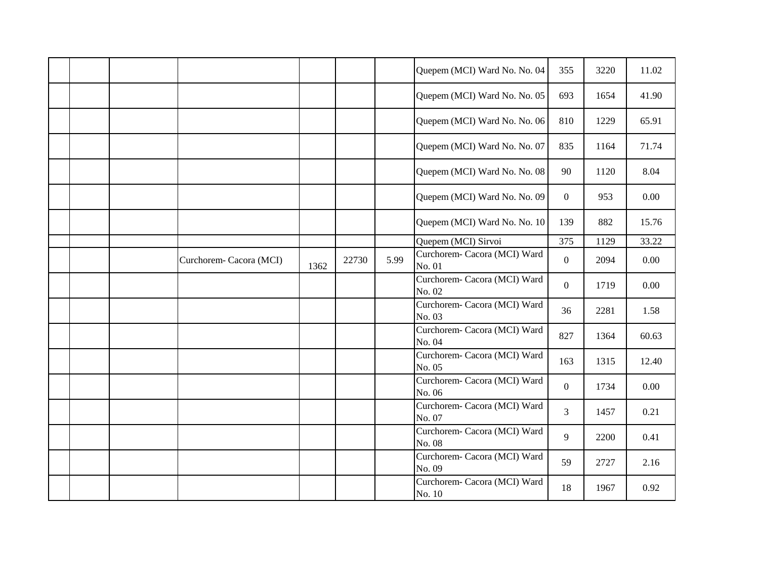|  |                         |      |       |      | Quepem (MCI) Ward No. No. 04           | 355              | 3220 | 11.02 |
|--|-------------------------|------|-------|------|----------------------------------------|------------------|------|-------|
|  |                         |      |       |      | Quepem (MCI) Ward No. No. 05           | 693              | 1654 | 41.90 |
|  |                         |      |       |      | Quepem (MCI) Ward No. No. 06           | 810              | 1229 | 65.91 |
|  |                         |      |       |      | Quepem (MCI) Ward No. No. 07           | 835              | 1164 | 71.74 |
|  |                         |      |       |      | Quepem (MCI) Ward No. No. 08           | 90               | 1120 | 8.04  |
|  |                         |      |       |      | Quepem (MCI) Ward No. No. 09           | $\overline{0}$   | 953  | 0.00  |
|  |                         |      |       |      | Quepem (MCI) Ward No. No. 10           | 139              | 882  | 15.76 |
|  |                         |      |       |      | Quepem (MCI) Sirvoi                    | 375              | 1129 | 33.22 |
|  | Curchorem- Cacora (MCI) | 1362 | 22730 | 5.99 | Curchorem- Cacora (MCI) Ward<br>No. 01 | $\overline{0}$   | 2094 | 0.00  |
|  |                         |      |       |      | Curchorem- Cacora (MCI) Ward<br>No. 02 | $\overline{0}$   | 1719 | 0.00  |
|  |                         |      |       |      | Curchorem- Cacora (MCI) Ward<br>No. 03 | 36               | 2281 | 1.58  |
|  |                         |      |       |      | Curchorem- Cacora (MCI) Ward<br>No. 04 | 827              | 1364 | 60.63 |
|  |                         |      |       |      | Curchorem- Cacora (MCI) Ward<br>No. 05 | 163              | 1315 | 12.40 |
|  |                         |      |       |      | Curchorem- Cacora (MCI) Ward<br>No. 06 | $\boldsymbol{0}$ | 1734 | 0.00  |
|  |                         |      |       |      | Curchorem- Cacora (MCI) Ward<br>No. 07 | $\overline{3}$   | 1457 | 0.21  |
|  |                         |      |       |      | Curchorem- Cacora (MCI) Ward<br>No. 08 | 9                | 2200 | 0.41  |
|  |                         |      |       |      | Curchorem- Cacora (MCI) Ward<br>No. 09 | 59               | 2727 | 2.16  |
|  |                         |      |       |      | Curchorem- Cacora (MCI) Ward<br>No. 10 | 18               | 1967 | 0.92  |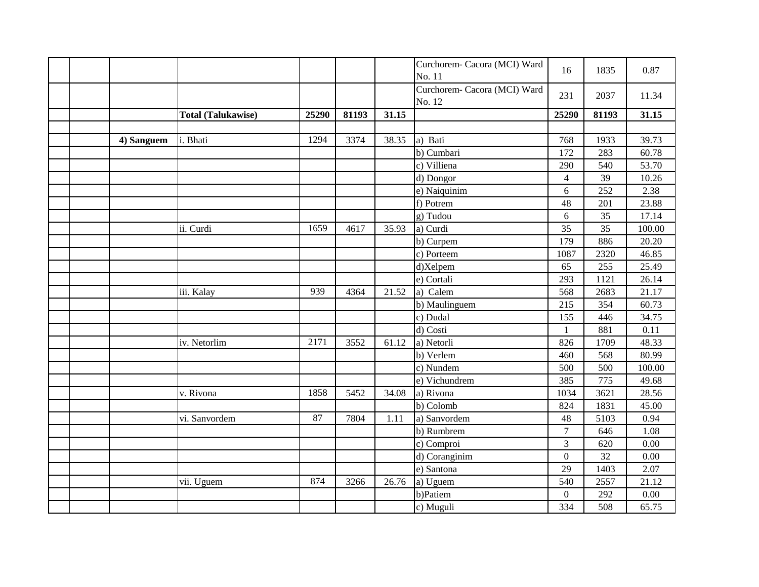|  |            |                           |       |       |       | Curchorem- Cacora (MCI) Ward<br>No. 11 | 16             | 1835  | 0.87   |
|--|------------|---------------------------|-------|-------|-------|----------------------------------------|----------------|-------|--------|
|  |            |                           |       |       |       | Curchorem- Cacora (MCI) Ward<br>No. 12 | 231            | 2037  | 11.34  |
|  |            | <b>Total (Talukawise)</b> | 25290 | 81193 | 31.15 |                                        | 25290          | 81193 | 31.15  |
|  |            |                           |       |       |       |                                        |                |       |        |
|  | 4) Sanguem | i. Bhati                  | 1294  | 3374  | 38.35 | a) Bati                                | 768            | 1933  | 39.73  |
|  |            |                           |       |       |       | b) Cumbari                             | 172            | 283   | 60.78  |
|  |            |                           |       |       |       | c) Villiena                            | 290            | 540   | 53.70  |
|  |            |                           |       |       |       | d) Dongor                              | $\overline{4}$ | 39    | 10.26  |
|  |            |                           |       |       |       | e) Naiquinim                           | 6              | 252   | 2.38   |
|  |            |                           |       |       |       | f) Potrem                              | 48             | 201   | 23.88  |
|  |            |                           |       |       |       | g) Tudou                               | 6              | 35    | 17.14  |
|  |            | ii. Curdi                 | 1659  | 4617  | 35.93 | a) Curdi                               | 35             | 35    | 100.00 |
|  |            |                           |       |       |       | b) Curpem                              | 179            | 886   | 20.20  |
|  |            |                           |       |       |       | c) Porteem                             | 1087           | 2320  | 46.85  |
|  |            |                           |       |       |       | d)Xelpem                               | 65             | 255   | 25.49  |
|  |            |                           |       |       |       | e) Cortali                             | 293            | 1121  | 26.14  |
|  |            | iii. Kalay                | 939   | 4364  | 21.52 | a) Calem                               | 568            | 2683  | 21.17  |
|  |            |                           |       |       |       | b) Maulinguem                          | 215            | 354   | 60.73  |
|  |            |                           |       |       |       | c) Dudal                               | 155            | 446   | 34.75  |
|  |            |                           |       |       |       | d) Costi                               | $\mathbf{1}$   | 881   | 0.11   |
|  |            | iv. Netorlim              | 2171  | 3552  | 61.12 | a) Netorli                             | 826            | 1709  | 48.33  |
|  |            |                           |       |       |       | b) Verlem                              | 460            | 568   | 80.99  |
|  |            |                           |       |       |       | c) Nundem                              | 500            | 500   | 100.00 |
|  |            |                           |       |       |       | e) Vichundrem                          | 385            | 775   | 49.68  |
|  |            | v. Rivona                 | 1858  | 5452  | 34.08 | a) Rivona                              | 1034           | 3621  | 28.56  |
|  |            |                           |       |       |       | b) Colomb                              | 824            | 1831  | 45.00  |
|  |            | vi. Sanvordem             | 87    | 7804  | 1.11  | a) Sanvordem                           | 48             | 5103  | 0.94   |
|  |            |                           |       |       |       | b) Rumbrem                             | $\overline{7}$ | 646   | 1.08   |
|  |            |                           |       |       |       | c) Comproi                             | 3              | 620   | 0.00   |
|  |            |                           |       |       |       | d) Coranginim                          | $\overline{0}$ | 32    | 0.00   |
|  |            |                           |       |       |       | e) Santona                             | 29             | 1403  | 2.07   |
|  |            | vii. Uguem                | 874   | 3266  | 26.76 | a) Uguem                               | 540            | 2557  | 21.12  |
|  |            |                           |       |       |       | b)Patiem                               | $\overline{0}$ | 292   | 0.00   |
|  |            |                           |       |       |       | c) Muguli                              | 334            | 508   | 65.75  |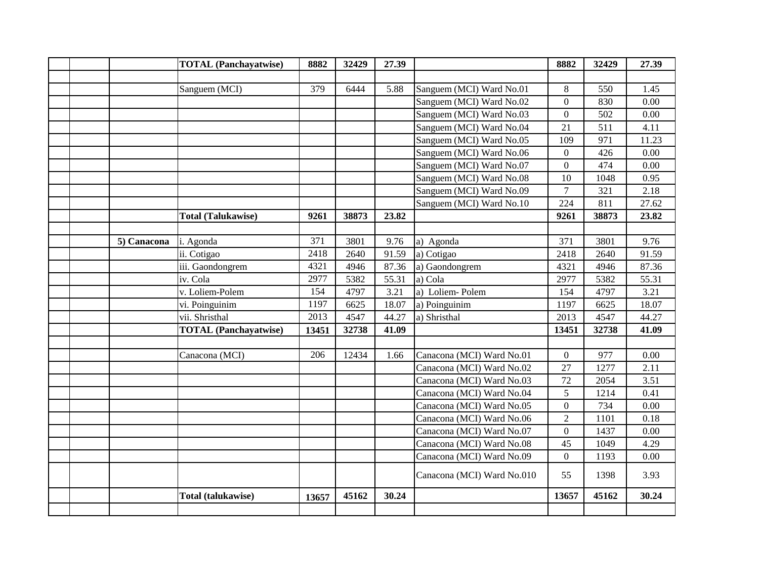|             | <b>TOTAL</b> (Panchayatwise) | 8882  | 32429 | 27.39 |                            | 8882           | 32429 | 27.39 |
|-------------|------------------------------|-------|-------|-------|----------------------------|----------------|-------|-------|
|             |                              |       |       |       |                            |                |       |       |
|             | Sanguem (MCI)                | 379   | 6444  | 5.88  | Sanguem (MCI) Ward No.01   | 8              | 550   | 1.45  |
|             |                              |       |       |       | Sanguem (MCI) Ward No.02   | $\overline{0}$ | 830   | 0.00  |
|             |                              |       |       |       | Sanguem (MCI) Ward No.03   | $\overline{0}$ | 502   | 0.00  |
|             |                              |       |       |       | Sanguem (MCI) Ward No.04   | 21             | 511   | 4.11  |
|             |                              |       |       |       | Sanguem (MCI) Ward No.05   | 109            | 971   | 11.23 |
|             |                              |       |       |       | Sanguem (MCI) Ward No.06   | $\overline{0}$ | 426   | 0.00  |
|             |                              |       |       |       | Sanguem (MCI) Ward No.07   | $\overline{0}$ | 474   | 0.00  |
|             |                              |       |       |       | Sanguem (MCI) Ward No.08   | 10             | 1048  | 0.95  |
|             |                              |       |       |       | Sanguem (MCI) Ward No.09   | $\overline{7}$ | 321   | 2.18  |
|             |                              |       |       |       | Sanguem (MCI) Ward No.10   | 224            | 811   | 27.62 |
|             | <b>Total (Talukawise)</b>    | 9261  | 38873 | 23.82 |                            | 9261           | 38873 | 23.82 |
|             |                              |       |       |       |                            |                |       |       |
| 5) Canacona | i. Agonda                    | 371   | 3801  | 9.76  | a) Agonda                  | 371            | 3801  | 9.76  |
|             | ii. Cotigao                  | 2418  | 2640  | 91.59 | a) Cotigao                 | 2418           | 2640  | 91.59 |
|             | iii. Gaondongrem             | 4321  | 4946  | 87.36 | a) Gaondongrem             | 4321           | 4946  | 87.36 |
|             | iv. Cola                     | 2977  | 5382  | 55.31 | a) Cola                    | 2977           | 5382  | 55.31 |
|             | v. Loliem-Polem              | 154   | 4797  | 3.21  | a) Loliem-Polem            | 154            | 4797  | 3.21  |
|             | vi. Poinguinim               | 1197  | 6625  | 18.07 | a) Poinguinim              | 1197           | 6625  | 18.07 |
|             | vii. Shristhal               | 2013  | 4547  | 44.27 | a) Shristhal               | 2013           | 4547  | 44.27 |
|             | <b>TOTAL</b> (Panchayatwise) | 13451 | 32738 | 41.09 |                            | 13451          | 32738 | 41.09 |
|             |                              |       |       |       |                            |                |       |       |
|             | Canacona (MCI)               | 206   | 12434 | 1.66  | Canacona (MCI) Ward No.01  | $\overline{0}$ | 977   | 0.00  |
|             |                              |       |       |       | Canacona (MCI) Ward No.02  | 27             | 1277  | 2.11  |
|             |                              |       |       |       | Canacona (MCI) Ward No.03  | 72             | 2054  | 3.51  |
|             |                              |       |       |       | Canacona (MCI) Ward No.04  | 5              | 1214  | 0.41  |
|             |                              |       |       |       | Canacona (MCI) Ward No.05  | $\overline{0}$ | 734   | 0.00  |
|             |                              |       |       |       | Canacona (MCI) Ward No.06  | $\overline{2}$ | 1101  | 0.18  |
|             |                              |       |       |       | Canacona (MCI) Ward No.07  | $\overline{0}$ | 1437  | 0.00  |
|             |                              |       |       |       | Canacona (MCI) Ward No.08  | 45             | 1049  | 4.29  |
|             |                              |       |       |       | Canacona (MCI) Ward No.09  | $\overline{0}$ | 1193  | 0.00  |
|             |                              |       |       |       | Canacona (MCI) Ward No.010 | 55             | 1398  | 3.93  |
|             | Total (talukawise)           | 13657 | 45162 | 30.24 |                            | 13657          | 45162 | 30.24 |
|             |                              |       |       |       |                            |                |       |       |